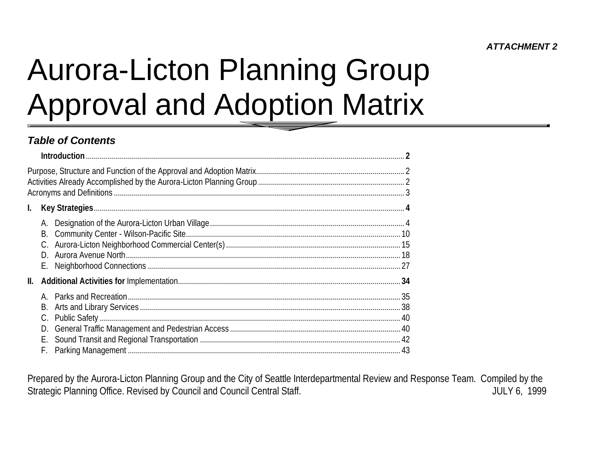### **ATTACHMENT 2**

# **Aurora-Licton Planning Group Approval and Adoption Matrix**

### **Table of Contents**

| $\mathbf{L}$ |                            |  |
|--------------|----------------------------|--|
|              | А.<br>B.<br>D.<br>Е.       |  |
| II.          |                            |  |
|              | В.<br>C.<br>D.<br>Е.<br>F. |  |

Prepared by the Aurora-Licton Planning Group and the City of Seattle Interdepartmental Review and Response Team. Compiled by the Strategic Planning Office. Revised by Council and Council Central Staff. **JULY 6, 1999**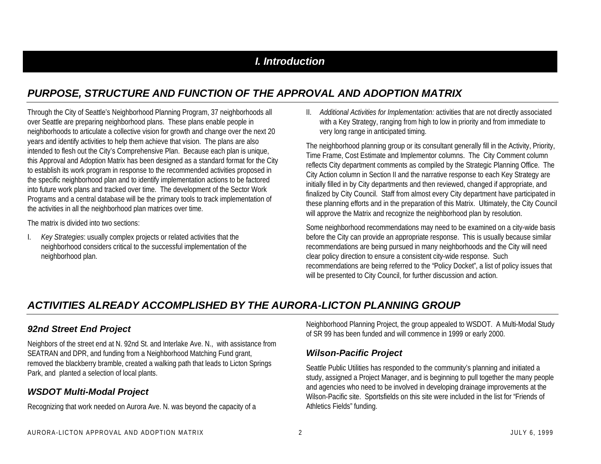### *I. Introduction*

### *PURPOSE, STRUCTURE AND FUNCTION OF THE APPROVAL AND ADOPTION MATRIX*

Through the City of Seattle's Neighborhood Planning Program, 37 neighborhoods all over Seattle are preparing neighborhood plans. These plans enable people in neighborhoods to articulate a collective vision for growth and change over the next 20 years and identify activities to help them achieve that vision. The plans are also intended to flesh out the City's Comprehensive Plan. Because each plan is unique, this Approval and Adoption Matrix has been designed as a standard format for the City to establish its work program in response to the recommended activities proposed in the specific neighborhood plan and to identify implementation actions to be factored into future work plans and tracked over time. The development of the Sector Work Programs and a central database will be the primary tools to track implementation of the activities in all the neighborhood plan matrices over time.

The matrix is divided into two sections:

I. *Key Strategies*: usually complex projects or related activities that the neighborhood considers critical to the successful implementation of the neighborhood plan.

II. *Additional Activities for Implementation:* activities that are not directly associated with a Key Strategy, ranging from high to low in priority and from immediate to very long range in anticipated timing.

The neighborhood planning group or its consultant generally fill in the Activity, Priority, Time Frame, Cost Estimate and Implementor columns. The City Comment column reflects City department comments as compiled by the Strategic Planning Office. The City Action column in Section II and the narrative response to each Key Strategy are initially filled in by City departments and then reviewed, changed if appropriate, and finalized by City Council. Staff from almost every City department have participated in these planning efforts and in the preparation of this Matrix. Ultimately, the City Council will approve the Matrix and recognize the neighborhood plan by resolution.

Some neighborhood recommendations may need to be examined on a city-wide basis before the City can provide an appropriate response. This is usually because similar recommendations are being pursued in many neighborhoods and the City will need clear policy direction to ensure a consistent city-wide response. Such recommendations are being referred to the "Policy Docket", a list of policy issues that will be presented to City Council, for further discussion and action.

### *ACTIVITIES ALREADY ACCOMPLISHED BY THE AURORA-LICTON PLANNING GROUP*

#### *92nd Street End Project*

Neighbors of the street end at N. 92nd St. and Interlake Ave. N., with assistance from SEATRAN and DPR, and funding from a Neighborhood Matching Fund grant, removed the blackberry bramble, created a walking path that leads to Licton Springs Park, and planted a selection of local plants.

#### *WSDOT Multi-Modal Project*

Recognizing that work needed on Aurora Ave. N. was beyond the capacity of a

Neighborhood Planning Project, the group appealed to WSDOT. A Multi-Modal Study of SR 99 has been funded and will commence in 1999 or early 2000.

#### *Wilson-Pacific Project*

Seattle Public Utilities has responded to the community's planning and initiated a study, assigned a Project Manager, and is beginning to pull together the many people and agencies who need to be involved in developing drainage improvements at the Wilson-Pacific site. Sportsfields on this site were included in the list for "Friends of Athletics Fields" funding.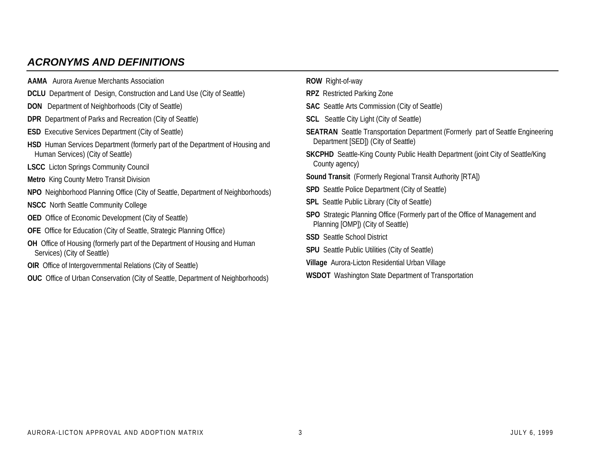### *ACRONYMS AND DEFINITIONS*

| <b>AAMA</b> Aurora Avenue Merchants Association                                                                           | ROW Right-of-way                                                                                                              |  |  |  |  |  |
|---------------------------------------------------------------------------------------------------------------------------|-------------------------------------------------------------------------------------------------------------------------------|--|--|--|--|--|
| <b>DCLU</b> Department of Design, Construction and Land Use (City of Seattle)                                             | <b>RPZ</b> Restricted Parking Zone                                                                                            |  |  |  |  |  |
| <b>DON</b> Department of Neighborhoods (City of Seattle)                                                                  | <b>SAC</b> Seattle Arts Commission (City of Seattle)                                                                          |  |  |  |  |  |
| <b>DPR</b> Department of Parks and Recreation (City of Seattle)                                                           | <b>SCL</b> Seattle City Light (City of Seattle)                                                                               |  |  |  |  |  |
| <b>ESD</b> Executive Services Department (City of Seattle)                                                                | <b>SEATRAN</b> Seattle Transportation Department (Formerly part of Seattle Engineering                                        |  |  |  |  |  |
| <b>HSD</b> Human Services Department (formerly part of the Department of Housing and<br>Human Services) (City of Seattle) | Department [SED]) (City of Seattle)<br><b>SKCPHD</b> Seattle-King County Public Health Department (joint City of Seattle/King |  |  |  |  |  |
| <b>LSCC</b> Licton Springs Community Council                                                                              | County agency)                                                                                                                |  |  |  |  |  |
| <b>Metro</b> King County Metro Transit Division                                                                           | <b>Sound Transit</b> (Formerly Regional Transit Authority [RTA])                                                              |  |  |  |  |  |
| NPO Neighborhood Planning Office (City of Seattle, Department of Neighborhoods)                                           | <b>SPD</b> Seattle Police Department (City of Seattle)<br><b>SPL</b> Seattle Public Library (City of Seattle)                 |  |  |  |  |  |
| <b>NSCC</b> North Seattle Community College                                                                               |                                                                                                                               |  |  |  |  |  |
| <b>OED</b> Office of Economic Development (City of Seattle)                                                               | <b>SPO</b> Strategic Planning Office (Formerly part of the Office of Management and<br>Planning [OMP]) (City of Seattle)      |  |  |  |  |  |
| <b>OFE</b> Office for Education (City of Seattle, Strategic Planning Office)                                              | <b>SSD</b> Seattle School District                                                                                            |  |  |  |  |  |
| <b>OH</b> Office of Housing (formerly part of the Department of Housing and Human<br>Services) (City of Seattle)          | <b>SPU</b> Seattle Public Utilities (City of Seattle)                                                                         |  |  |  |  |  |
| OIR Office of Intergovernmental Relations (City of Seattle)                                                               | Village Aurora-Licton Residential Urban Village                                                                               |  |  |  |  |  |
| <b>OUC</b> Office of Urban Conservation (City of Seattle, Department of Neighborhoods)                                    | <b>WSDOT</b> Washington State Department of Transportation                                                                    |  |  |  |  |  |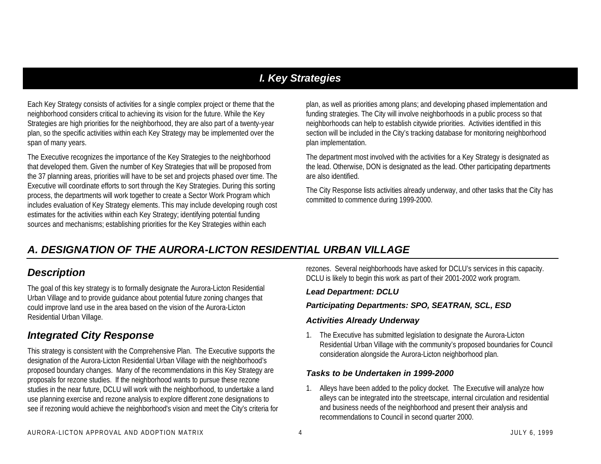### *I. Key Strategies*

Each Key Strategy consists of activities for a single complex project or theme that the neighborhood considers critical to achieving its vision for the future. While the Key Strategies are high priorities for the neighborhood, they are also part of a twenty-year plan, so the specific activities within each Key Strategy may be implemented over the span of many years.

The Executive recognizes the importance of the Key Strategies to the neighborhood that developed them. Given the number of Key Strategies that will be proposed from the 37 planning areas, priorities will have to be set and projects phased over time. The Executive will coordinate efforts to sort through the Key Strategies. During this sorting process, the departments will work together to create a Sector Work Program which includes evaluation of Key Strategy elements. This may include developing rough cost estimates for the activities within each Key Strategy; identifying potential funding sources and mechanisms; establishing priorities for the Key Strategies within each

plan, as well as priorities among plans; and developing phased implementation and funding strategies. The City will involve neighborhoods in a public process so that neighborhoods can help to establish citywide priorities. Activities identified in this section will be included in the City's tracking database for monitoring neighborhood plan implementation.

The department most involved with the activities for a Key Strategy is designated as the lead. Otherwise, DON is designated as the lead. Other participating departments are also identified.

The City Response lists activities already underway, and other tasks that the City has committed to commence during 1999-2000.

### *A. DESIGNATION OF THE AURORA-LICTON RESIDENTIAL URBAN VILLAGE*

### *Description*

The goal of this key strategy is to formally designate the Aurora-Licton Residential Urban Village and to provide guidance about potential future zoning changes that could improve land use in the area based on the vision of the Aurora-Licton Residential Urban Village.

### *Integrated City Response*

This strategy is consistent with the Comprehensive Plan. The Executive supports the designation of the Aurora-Licton Residential Urban Village with the neighborhood's proposed boundary changes. Many of the recommendations in this Key Strategy are proposals for rezone studies. If the neighborhood wants to pursue these rezone studies in the near future, DCLU will work with the neighborhood, to undertake a land use planning exercise and rezone analysis to explore different zone designations to see if rezoning would achieve the neighborhood's vision and meet the City's criteria for rezones. Several neighborhoods have asked for DCLU's services in this capacity. DCLU is likely to begin this work as part of their 2001-2002 work program.

#### *Lead Department: DCLU*

#### *Participating Departments: SPO, SEATRAN, SCL, ESD*

#### *Activities Already Underway*

1. The Executive has submitted legislation to designate the Aurora-Licton Residential Urban Village with the community's proposed boundaries for Council consideration alongside the Aurora-Licton neighborhood plan.

#### *Tasks to be Undertaken in 1999-2000*

1. Alleys have been added to the policy docket. The Executive will analyze how alleys can be integrated into the streetscape, internal circulation and residential and business needs of the neighborhood and present their analysis and recommendations to Council in second quarter 2000.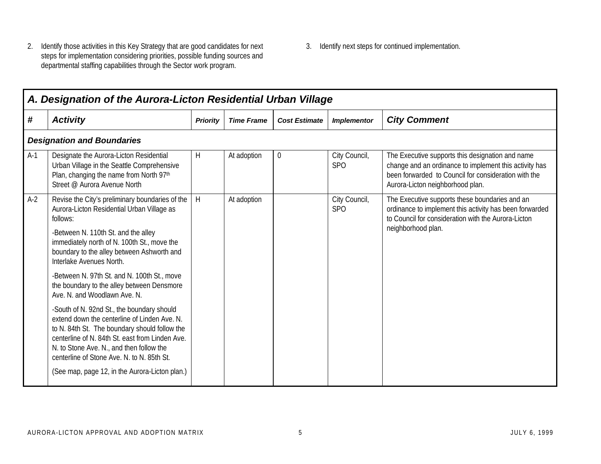- 2. Identify those activities in this Key Strategy that are good candidates for next steps for implementation considering priorities, possible funding sources and departmental staffing capabilities through the Sector work program.
- 3. Identify next steps for continued implementation.

|       | A. Designation of the Aurora-Licton Residential Urban Village                                                                                                                                                                                                                                                                              |                 |                   |                      |                                  |                                                                                                                                                                                                        |  |  |  |  |
|-------|--------------------------------------------------------------------------------------------------------------------------------------------------------------------------------------------------------------------------------------------------------------------------------------------------------------------------------------------|-----------------|-------------------|----------------------|----------------------------------|--------------------------------------------------------------------------------------------------------------------------------------------------------------------------------------------------------|--|--|--|--|
| #     | <b>Activity</b>                                                                                                                                                                                                                                                                                                                            | <b>Priority</b> | <b>Time Frame</b> | <b>Cost Estimate</b> | <b>Implementor</b>               | <b>City Comment</b>                                                                                                                                                                                    |  |  |  |  |
|       | <b>Designation and Boundaries</b>                                                                                                                                                                                                                                                                                                          |                 |                   |                      |                                  |                                                                                                                                                                                                        |  |  |  |  |
| $A-1$ | Designate the Aurora-Licton Residential<br>Urban Village in the Seattle Comprehensive<br>Plan, changing the name from North 97th<br>Street @ Aurora Avenue North                                                                                                                                                                           | H               | At adoption       | $\overline{0}$       | City Council,<br>SP <sub>O</sub> | The Executive supports this designation and name<br>change and an ordinance to implement this activity has<br>been forwarded to Council for consideration with the<br>Aurora-Licton neighborhood plan. |  |  |  |  |
| $A-2$ | Revise the City's preliminary boundaries of the<br>Aurora-Licton Residential Urban Village as<br>follows:<br>-Between N. 110th St. and the alley<br>immediately north of N. 100th St., move the<br>boundary to the alley between Ashworth and<br>Interlake Avenues North.                                                                  | H               | At adoption       |                      | City Council,<br>SPO             | The Executive supports these boundaries and an<br>ordinance to implement this activity has been forwarded<br>to Council for consideration with the Aurora-Licton<br>neighborhood plan.                 |  |  |  |  |
|       | -Between N. 97th St. and N. 100th St., move<br>the boundary to the alley between Densmore<br>Ave. N. and Woodlawn Ave. N.                                                                                                                                                                                                                  |                 |                   |                      |                                  |                                                                                                                                                                                                        |  |  |  |  |
|       | -South of N. 92nd St., the boundary should<br>extend down the centerline of Linden Ave. N.<br>to N. 84th St. The boundary should follow the<br>centerline of N. 84th St. east from Linden Ave.<br>N. to Stone Ave. N., and then follow the<br>centerline of Stone Ave. N. to N. 85th St.<br>(See map, page 12, in the Aurora-Licton plan.) |                 |                   |                      |                                  |                                                                                                                                                                                                        |  |  |  |  |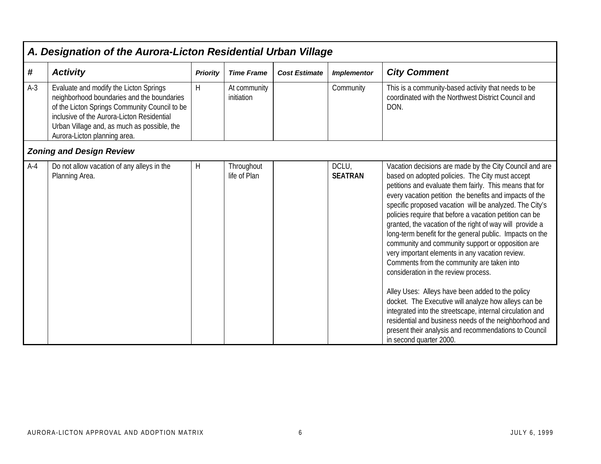|       | A. Designation of the Aurora-Licton Residential Urban Village                                                                                                                                                                                                      |                 |                            |                      |                         |                                                                                                                                                                                                                                                                                                                                                                                                                                                                                                                                                                                                                                                                                                                                                                                                                                                                                                                                                                                                     |  |  |  |  |
|-------|--------------------------------------------------------------------------------------------------------------------------------------------------------------------------------------------------------------------------------------------------------------------|-----------------|----------------------------|----------------------|-------------------------|-----------------------------------------------------------------------------------------------------------------------------------------------------------------------------------------------------------------------------------------------------------------------------------------------------------------------------------------------------------------------------------------------------------------------------------------------------------------------------------------------------------------------------------------------------------------------------------------------------------------------------------------------------------------------------------------------------------------------------------------------------------------------------------------------------------------------------------------------------------------------------------------------------------------------------------------------------------------------------------------------------|--|--|--|--|
| #     | <b>Activity</b>                                                                                                                                                                                                                                                    | <b>Priority</b> | <b>Time Frame</b>          | <b>Cost Estimate</b> | <b>Implementor</b>      | <b>City Comment</b>                                                                                                                                                                                                                                                                                                                                                                                                                                                                                                                                                                                                                                                                                                                                                                                                                                                                                                                                                                                 |  |  |  |  |
| $A-3$ | Evaluate and modify the Licton Springs<br>neighborhood boundaries and the boundaries<br>of the Licton Springs Community Council to be<br>inclusive of the Aurora-Licton Residential<br>Urban Village and, as much as possible, the<br>Aurora-Licton planning area. | H               | At community<br>initiation |                      | Community               | This is a community-based activity that needs to be<br>coordinated with the Northwest District Council and<br>DON.                                                                                                                                                                                                                                                                                                                                                                                                                                                                                                                                                                                                                                                                                                                                                                                                                                                                                  |  |  |  |  |
|       | <b>Zoning and Design Review</b>                                                                                                                                                                                                                                    |                 |                            |                      |                         |                                                                                                                                                                                                                                                                                                                                                                                                                                                                                                                                                                                                                                                                                                                                                                                                                                                                                                                                                                                                     |  |  |  |  |
| $A-4$ | Do not allow vacation of any alleys in the<br>Planning Area.                                                                                                                                                                                                       | Η               | Throughout<br>life of Plan |                      | DCLU,<br><b>SEATRAN</b> | Vacation decisions are made by the City Council and are<br>based on adopted policies. The City must accept<br>petitions and evaluate them fairly. This means that for<br>every vacation petition the benefits and impacts of the<br>specific proposed vacation will be analyzed. The City's<br>policies require that before a vacation petition can be<br>granted, the vacation of the right of way will provide a<br>long-term benefit for the general public. Impacts on the<br>community and community support or opposition are<br>very important elements in any vacation review.<br>Comments from the community are taken into<br>consideration in the review process.<br>Alley Uses: Alleys have been added to the policy<br>docket. The Executive will analyze how alleys can be<br>integrated into the streetscape, internal circulation and<br>residential and business needs of the neighborhood and<br>present their analysis and recommendations to Council<br>in second quarter 2000. |  |  |  |  |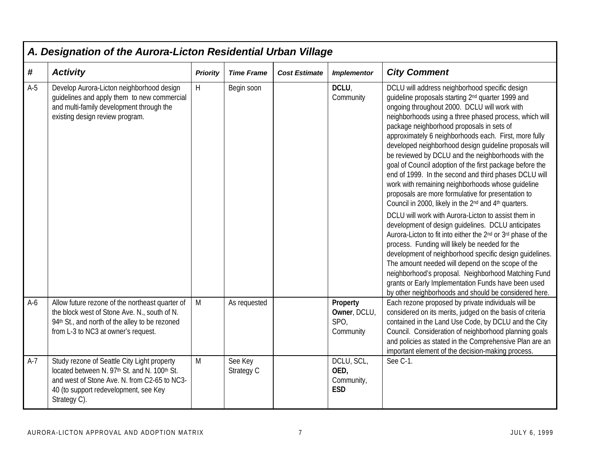|       | A. Designation of the Aurora-Licton Residential Urban Village                                                                                                                                        |                 |                       |                      |                                                |                                                                                                                                                                                                                                                                                                                                                                                                                                                                                                                                                                                                                                                                                                                                                                                                                                                                                                                                                                                                                                                                                                                                                                                                                                                                                                               |  |  |  |
|-------|------------------------------------------------------------------------------------------------------------------------------------------------------------------------------------------------------|-----------------|-----------------------|----------------------|------------------------------------------------|---------------------------------------------------------------------------------------------------------------------------------------------------------------------------------------------------------------------------------------------------------------------------------------------------------------------------------------------------------------------------------------------------------------------------------------------------------------------------------------------------------------------------------------------------------------------------------------------------------------------------------------------------------------------------------------------------------------------------------------------------------------------------------------------------------------------------------------------------------------------------------------------------------------------------------------------------------------------------------------------------------------------------------------------------------------------------------------------------------------------------------------------------------------------------------------------------------------------------------------------------------------------------------------------------------------|--|--|--|
| #     | <b>Activity</b>                                                                                                                                                                                      | <b>Priority</b> | <b>Time Frame</b>     | <b>Cost Estimate</b> | <b>Implementor</b>                             | <b>City Comment</b>                                                                                                                                                                                                                                                                                                                                                                                                                                                                                                                                                                                                                                                                                                                                                                                                                                                                                                                                                                                                                                                                                                                                                                                                                                                                                           |  |  |  |
| $A-5$ | Develop Aurora-Licton neighborhood design<br>guidelines and apply them to new commercial<br>and multi-family development through the<br>existing design review program.                              | H               | Begin soon            |                      | DCLU.<br>Community                             | DCLU will address neighborhood specific design<br>guideline proposals starting 2 <sup>nd</sup> quarter 1999 and<br>ongoing throughout 2000. DCLU will work with<br>neighborhoods using a three phased process, which will<br>package neighborhood proposals in sets of<br>approximately 6 neighborhoods each. First, more fully<br>developed neighborhood design guideline proposals will<br>be reviewed by DCLU and the neighborhoods with the<br>goal of Council adoption of the first package before the<br>end of 1999. In the second and third phases DCLU will<br>work with remaining neighborhoods whose guideline<br>proposals are more formulative for presentation to<br>Council in 2000, likely in the 2 <sup>nd</sup> and 4 <sup>th</sup> quarters.<br>DCLU will work with Aurora-Licton to assist them in<br>development of design guidelines. DCLU anticipates<br>Aurora-Licton to fit into either the 2 <sup>nd</sup> or 3 <sup>rd</sup> phase of the<br>process. Funding will likely be needed for the<br>development of neighborhood specific design guidelines.<br>The amount needed will depend on the scope of the<br>neighborhood's proposal. Neighborhood Matching Fund<br>grants or Early Implementation Funds have been used<br>by other neighborhoods and should be considered here. |  |  |  |
| $A-6$ | Allow future rezone of the northeast quarter of<br>the block west of Stone Ave. N., south of N.<br>94th St., and north of the alley to be rezoned<br>from L-3 to NC3 at owner's request.             | M               | As requested          |                      | Property<br>Owner, DCLU,<br>SPO,<br>Community  | Each rezone proposed by private individuals will be<br>considered on its merits, judged on the basis of criteria<br>contained in the Land Use Code, by DCLU and the City<br>Council. Consideration of neighborhood planning goals<br>and policies as stated in the Comprehensive Plan are an<br>important element of the decision-making process.                                                                                                                                                                                                                                                                                                                                                                                                                                                                                                                                                                                                                                                                                                                                                                                                                                                                                                                                                             |  |  |  |
| $A-7$ | Study rezone of Seattle City Light property<br>located between N. 97th St. and N. 100th St.<br>and west of Stone Ave. N. from C2-65 to NC3-<br>40 (to support redevelopment, see Key<br>Strategy C). | M               | See Key<br>Strategy C |                      | DCLU, SCL,<br>OED,<br>Community,<br><b>ESD</b> | See C-1.                                                                                                                                                                                                                                                                                                                                                                                                                                                                                                                                                                                                                                                                                                                                                                                                                                                                                                                                                                                                                                                                                                                                                                                                                                                                                                      |  |  |  |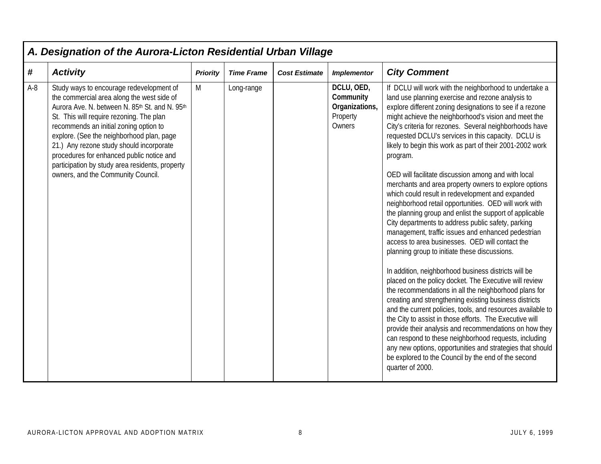| #<br><b>City Comment</b><br><b>Activity</b><br><b>Time Frame</b><br><b>Cost Estimate</b><br><b>Implementor</b><br><b>Priority</b><br>DCLU, OED,<br>$A-8$<br>Study ways to encourage redevelopment of<br>If DCLU will work with the neighborhood to undertake a<br>M<br>Long-range<br>Community<br>the commercial area along the west side of<br>land use planning exercise and rezone analysis to<br>Organizations,<br>explore different zoning designations to see if a rezone<br>Aurora Ave. N. between N. 85th St. and N. 95th<br>might achieve the neighborhood's vision and meet the<br>St. This will require rezoning. The plan<br>Property<br>Owners<br>City's criteria for rezones. Several neighborhoods have<br>recommends an initial zoning option to                                                                                                                                                                                                                                                                                                                                                                                                                                                                                                                                                                                                                                                                                                                              |
|-----------------------------------------------------------------------------------------------------------------------------------------------------------------------------------------------------------------------------------------------------------------------------------------------------------------------------------------------------------------------------------------------------------------------------------------------------------------------------------------------------------------------------------------------------------------------------------------------------------------------------------------------------------------------------------------------------------------------------------------------------------------------------------------------------------------------------------------------------------------------------------------------------------------------------------------------------------------------------------------------------------------------------------------------------------------------------------------------------------------------------------------------------------------------------------------------------------------------------------------------------------------------------------------------------------------------------------------------------------------------------------------------------------------------------------------------------------------------------------------------|
|                                                                                                                                                                                                                                                                                                                                                                                                                                                                                                                                                                                                                                                                                                                                                                                                                                                                                                                                                                                                                                                                                                                                                                                                                                                                                                                                                                                                                                                                                               |
| requested DCLU's services in this capacity. DCLU is<br>explore. (See the neighborhood plan, page<br>21.) Any rezone study should incorporate<br>likely to begin this work as part of their 2001-2002 work<br>procedures for enhanced public notice and<br>program.<br>participation by study area residents, property<br>owners, and the Community Council.<br>OED will facilitate discussion among and with local<br>merchants and area property owners to explore options<br>which could result in redevelopment and expanded<br>neighborhood retail opportunities. OED will work with<br>the planning group and enlist the support of applicable<br>City departments to address public safety, parking<br>management, traffic issues and enhanced pedestrian<br>access to area businesses. OED will contact the<br>planning group to initiate these discussions.<br>In addition, neighborhood business districts will be<br>placed on the policy docket. The Executive will review<br>the recommendations in all the neighborhood plans for<br>creating and strengthening existing business districts<br>and the current policies, tools, and resources available to<br>the City to assist in those efforts. The Executive will<br>provide their analysis and recommendations on how they<br>can respond to these neighborhood requests, including<br>any new options, opportunities and strategies that should<br>be explored to the Council by the end of the second<br>quarter of 2000. |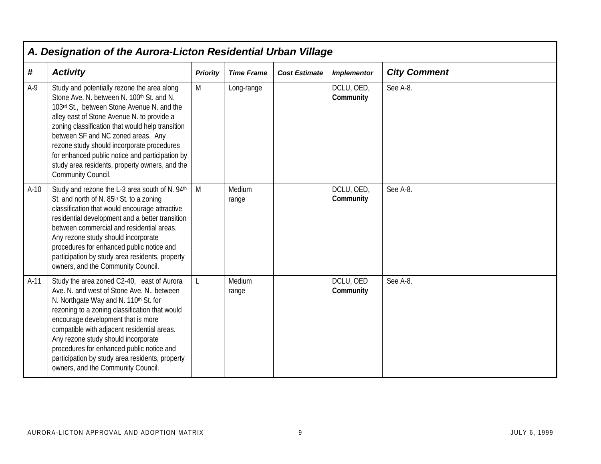|        | A. Designation of the Aurora-Licton Residential Urban Village                                                                                                                                                                                                                                                                                                                                                                                           |                 |                   |                      |                         |                     |  |  |  |
|--------|---------------------------------------------------------------------------------------------------------------------------------------------------------------------------------------------------------------------------------------------------------------------------------------------------------------------------------------------------------------------------------------------------------------------------------------------------------|-----------------|-------------------|----------------------|-------------------------|---------------------|--|--|--|
| #      | <b>Activity</b>                                                                                                                                                                                                                                                                                                                                                                                                                                         | <b>Priority</b> | <b>Time Frame</b> | <b>Cost Estimate</b> | <b>Implementor</b>      | <b>City Comment</b> |  |  |  |
| $A-9$  | Study and potentially rezone the area along<br>Stone Ave. N. between N. 100th St. and N.<br>103rd St., between Stone Avenue N. and the<br>alley east of Stone Avenue N. to provide a<br>zoning classification that would help transition<br>between SF and NC zoned areas. Any<br>rezone study should incorporate procedures<br>for enhanced public notice and participation by<br>study area residents, property owners, and the<br>Community Council. | M               | Long-range        |                      | DCLU, OED,<br>Community | See A-8.            |  |  |  |
| $A-10$ | Study and rezone the L-3 area south of N. 94th<br>St. and north of N. 85 <sup>th</sup> St. to a zoning<br>classification that would encourage attractive<br>residential development and a better transition<br>between commercial and residential areas.<br>Any rezone study should incorporate<br>procedures for enhanced public notice and<br>participation by study area residents, property<br>owners, and the Community Council.                   | M               | Medium<br>range   |                      | DCLU, OED,<br>Community | See A-8.            |  |  |  |
| $A-11$ | Study the area zoned C2-40, east of Aurora<br>Ave. N. and west of Stone Ave. N., between<br>N. Northgate Way and N. 110th St. for<br>rezoning to a zoning classification that would<br>encourage development that is more<br>compatible with adjacent residential areas.<br>Any rezone study should incorporate<br>procedures for enhanced public notice and<br>participation by study area residents, property<br>owners, and the Community Council.   |                 | Medium<br>range   |                      | DCLU, OED<br>Community  | See A-8.            |  |  |  |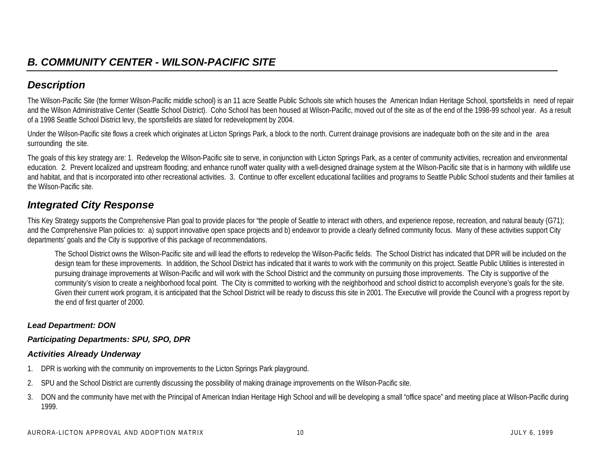### *Description*

The Wilson-Pacific Site (the former Wilson-Pacific middle school) is an 11 acre Seattle Public Schools site which houses the American Indian Heritage School, sportsfields in need of repair and the Wilson Administrative Center (Seattle School District). Coho School has been housed at Wilson-Pacific, moved out of the site as of the end of the 1998-99 school year. As a result of a 1998 Seattle School District levy, the sportsfields are slated for redevelopment by 2004.

Under the Wilson-Pacific site flows a creek which originates at Licton Springs Park, a block to the north. Current drainage provisions are inadequate both on the site and in the area surrounding the site.

The goals of this key strategy are: 1. Redevelop the Wilson-Pacific site to serve, in conjunction with Licton Springs Park, as a center of community activities, recreation and environmental education. 2. Prevent localized and upstream flooding; and enhance runoff water quality with a well-designed drainage system at the Wilson-Pacific site that is in harmony with wildlife use and habitat, and that is incorporated into other recreational activities. 3. Continue to offer excellent educational facilities and programs to Seattle Public School students and their families at the Wilson-Pacific site.

### *Integrated City Response*

This Key Strategy supports the Comprehensive Plan goal to provide places for "the people of Seattle to interact with others, and experience repose, recreation, and natural beauty (G71); and the Comprehensive Plan policies to: a) support innovative open space projects and b) endeavor to provide a clearly defined community focus. Many of these activities support City departments' goals and the City is supportive of this package of recommendations.

The School District owns the Wilson-Pacific site and will lead the efforts to redevelop the Wilson-Pacific fields. The School District has indicated that DPR will be included on the design team for these improvements. In addition, the School District has indicated that it wants to work with the community on this project. Seattle Public Utilities is interested in pursuing drainage improvements at Wilson-Pacific and will work with the School District and the community on pursuing those improvements. The City is supportive of the community's vision to create a neighborhood focal point. The City is committed to working with the neighborhood and school district to accomplish everyone's goals for the site. Given their current work program, it is anticipated that the School District will be ready to discuss this site in 2001. The Executive will provide the Council with a progress report by the end of first quarter of 2000.

#### *Lead Department: DON*

#### *Participating Departments: SPU, SPO, DPR*

#### *Activities Already Underway*

- 1. DPR is working with the community on improvements to the Licton Springs Park playground.
- 2. SPU and the School District are currently discussing the possibility of making drainage improvements on the Wilson-Pacific site.
- 3. DON and the community have met with the Principal of American Indian Heritage High School and will be developing a small "office space" and meeting place at Wilson-Pacific during 1999.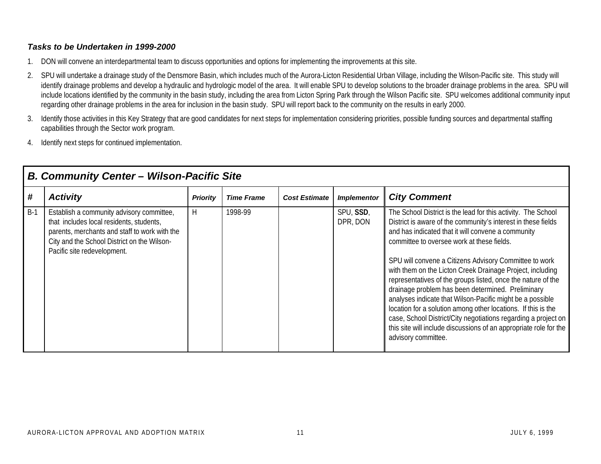- 1. DON will convene an interdepartmental team to discuss opportunities and options for implementing the improvements at this site.
- 2. SPU will undertake a drainage study of the Densmore Basin, which includes much of the Aurora-Licton Residential Urban Village, including the Wilson-Pacific site. This study will identify drainage problems and develop a hydraulic and hydrologic model of the area. It will enable SPU to develop solutions to the broader drainage problems in the area. SPU will include locations identified by the community in the basin study, including the area from Licton Spring Park through the Wilson Pacific site. SPU welcomes additional community input regarding other drainage problems in the area for inclusion in the basin study. SPU will report back to the community on the results in early 2000.
- 3. Identify those activities in this Key Strategy that are good candidates for next steps for implementation considering priorities, possible funding sources and departmental staffing capabilities through the Sector work program.
- 4. Identify next steps for continued implementation.

|       | <b>B. Community Center - Wilson-Pacific Site</b>                                                                                                                                                                     |                 |                   |                      |                       |                                                                                                                                                                                                                                                                                                                                                                                                                                                                                                                                                                                                                                                                                                                                                                            |  |  |  |  |
|-------|----------------------------------------------------------------------------------------------------------------------------------------------------------------------------------------------------------------------|-----------------|-------------------|----------------------|-----------------------|----------------------------------------------------------------------------------------------------------------------------------------------------------------------------------------------------------------------------------------------------------------------------------------------------------------------------------------------------------------------------------------------------------------------------------------------------------------------------------------------------------------------------------------------------------------------------------------------------------------------------------------------------------------------------------------------------------------------------------------------------------------------------|--|--|--|--|
| #     | <b>Activity</b>                                                                                                                                                                                                      | <b>Priority</b> | <b>Time Frame</b> | <b>Cost Estimate</b> | <b>Implementor</b>    | <b>City Comment</b>                                                                                                                                                                                                                                                                                                                                                                                                                                                                                                                                                                                                                                                                                                                                                        |  |  |  |  |
| $B-1$ | Establish a community advisory committee,<br>that includes local residents, students,<br>parents, merchants and staff to work with the<br>City and the School District on the Wilson-<br>Pacific site redevelopment. | н               | 1998-99           |                      | SPU, SSD,<br>DPR, DON | The School District is the lead for this activity. The School<br>District is aware of the community's interest in these fields<br>and has indicated that it will convene a community<br>committee to oversee work at these fields.<br>SPU will convene a Citizens Advisory Committee to work<br>with them on the Licton Creek Drainage Project, including<br>representatives of the groups listed, once the nature of the<br>drainage problem has been determined. Preliminary<br>analyses indicate that Wilson-Pacific might be a possible<br>location for a solution among other locations. If this is the<br>case, School District/City negotiations regarding a project on<br>this site will include discussions of an appropriate role for the<br>advisory committee. |  |  |  |  |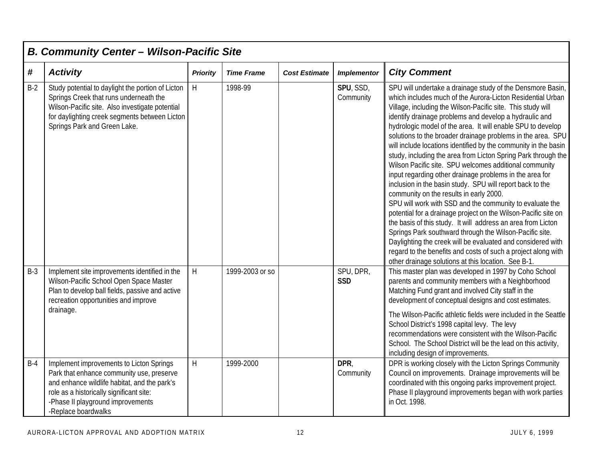|       | <b>B. Community Center - Wilson-Pacific Site</b>                                                                                                                                                                                              |                           |                   |                      |                         |                                                                                                                                                                                                                                                                                                                                                                                                                                                                                                                                                                                                                                                                                                                                                                                                                                                                                                                                                                                                                                                                                                                                                                                                  |  |  |  |
|-------|-----------------------------------------------------------------------------------------------------------------------------------------------------------------------------------------------------------------------------------------------|---------------------------|-------------------|----------------------|-------------------------|--------------------------------------------------------------------------------------------------------------------------------------------------------------------------------------------------------------------------------------------------------------------------------------------------------------------------------------------------------------------------------------------------------------------------------------------------------------------------------------------------------------------------------------------------------------------------------------------------------------------------------------------------------------------------------------------------------------------------------------------------------------------------------------------------------------------------------------------------------------------------------------------------------------------------------------------------------------------------------------------------------------------------------------------------------------------------------------------------------------------------------------------------------------------------------------------------|--|--|--|
| #     | <b>Activity</b>                                                                                                                                                                                                                               | <b>Priority</b>           | <b>Time Frame</b> | <b>Cost Estimate</b> | <b>Implementor</b>      | <b>City Comment</b>                                                                                                                                                                                                                                                                                                                                                                                                                                                                                                                                                                                                                                                                                                                                                                                                                                                                                                                                                                                                                                                                                                                                                                              |  |  |  |
| $B-2$ | Study potential to daylight the portion of Licton<br>Springs Creek that runs underneath the<br>Wilson-Pacific site. Also investigate potential<br>for daylighting creek segments between Licton<br>Springs Park and Green Lake.               | H                         | 1998-99           |                      | SPU, SSD,<br>Community  | SPU will undertake a drainage study of the Densmore Basin,<br>which includes much of the Aurora-Licton Residential Urban<br>Village, including the Wilson-Pacific site. This study will<br>identify drainage problems and develop a hydraulic and<br>hydrologic model of the area. It will enable SPU to develop<br>solutions to the broader drainage problems in the area. SPU<br>will include locations identified by the community in the basin<br>study, including the area from Licton Spring Park through the<br>Wilson Pacific site. SPU welcomes additional community<br>input regarding other drainage problems in the area for<br>inclusion in the basin study. SPU will report back to the<br>community on the results in early 2000.<br>SPU will work with SSD and the community to evaluate the<br>potential for a drainage project on the Wilson-Pacific site on<br>the basis of this study. It will address an area from Licton<br>Springs Park southward through the Wilson-Pacific site.<br>Daylighting the creek will be evaluated and considered with<br>regard to the benefits and costs of such a project along with<br>other drainage solutions at this location. See B-1. |  |  |  |
| $B-3$ | Implement site improvements identified in the<br>Wilson-Pacific School Open Space Master<br>Plan to develop ball fields, passive and active<br>recreation opportunities and improve<br>drainage.                                              | H                         | 1999-2003 or so   |                      | SPU, DPR,<br><b>SSD</b> | This master plan was developed in 1997 by Coho School<br>parents and community members with a Neighborhood<br>Matching Fund grant and involved City staff in the<br>development of conceptual designs and cost estimates.<br>The Wilson-Pacific athletic fields were included in the Seattle<br>School District's 1998 capital levy. The levy<br>recommendations were consistent with the Wilson-Pacific<br>School. The School District will be the lead on this activity,<br>including design of improvements.                                                                                                                                                                                                                                                                                                                                                                                                                                                                                                                                                                                                                                                                                  |  |  |  |
| $B-4$ | Implement improvements to Licton Springs<br>Park that enhance community use, preserve<br>and enhance wildlife habitat, and the park's<br>role as a historically significant site:<br>-Phase II playground improvements<br>-Replace boardwalks | $\boldsymbol{\mathsf{H}}$ | 1999-2000         |                      | DPR,<br>Community       | DPR is working closely with the Licton Springs Community<br>Council on improvements. Drainage improvements will be<br>coordinated with this ongoing parks improvement project.<br>Phase II playground improvements began with work parties<br>in Oct. 1998.                                                                                                                                                                                                                                                                                                                                                                                                                                                                                                                                                                                                                                                                                                                                                                                                                                                                                                                                      |  |  |  |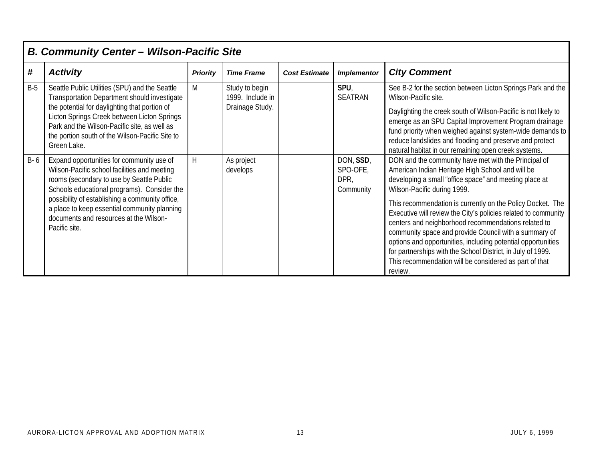|       | <b>B. Community Center - Wilson-Pacific Site</b>                                                                                                                                                                                                                                                                                                    |                 |                                                       |                      |                                            |                                                                                                                                                                                                                                                                                                                                                                                                                                                                                                                                                                                                                                                       |  |  |  |
|-------|-----------------------------------------------------------------------------------------------------------------------------------------------------------------------------------------------------------------------------------------------------------------------------------------------------------------------------------------------------|-----------------|-------------------------------------------------------|----------------------|--------------------------------------------|-------------------------------------------------------------------------------------------------------------------------------------------------------------------------------------------------------------------------------------------------------------------------------------------------------------------------------------------------------------------------------------------------------------------------------------------------------------------------------------------------------------------------------------------------------------------------------------------------------------------------------------------------------|--|--|--|
| #     | <b>Activity</b>                                                                                                                                                                                                                                                                                                                                     | <b>Priority</b> | <b>Time Frame</b>                                     | <b>Cost Estimate</b> | <b>Implementor</b>                         | <b>City Comment</b>                                                                                                                                                                                                                                                                                                                                                                                                                                                                                                                                                                                                                                   |  |  |  |
| $B-5$ | Seattle Public Utilities (SPU) and the Seattle<br>Transportation Department should investigate<br>the potential for daylighting that portion of<br>Licton Springs Creek between Licton Springs<br>Park and the Wilson-Pacific site, as well as<br>the portion south of the Wilson-Pacific Site to<br>Green Lake.                                    | M               | Study to begin<br>1999. Include in<br>Drainage Study. |                      | SPU,<br>SEATRAN                            | See B-2 for the section between Licton Springs Park and the<br>Wilson-Pacific site.<br>Daylighting the creek south of Wilson-Pacific is not likely to<br>emerge as an SPU Capital Improvement Program drainage<br>fund priority when weighed against system-wide demands to<br>reduce landslides and flooding and preserve and protect<br>natural habitat in our remaining open creek systems.                                                                                                                                                                                                                                                        |  |  |  |
| B-6   | Expand opportunities for community use of<br>Wilson-Pacific school facilities and meeting<br>rooms (secondary to use by Seattle Public<br>Schools educational programs). Consider the<br>possibility of establishing a community office,<br>a place to keep essential community planning<br>documents and resources at the Wilson-<br>Pacific site. | H               | As project<br>develops                                |                      | DON, SSD,<br>SPO-OFE,<br>DPR,<br>Community | DON and the community have met with the Principal of<br>American Indian Heritage High School and will be<br>developing a small "office space" and meeting place at<br>Wilson-Pacific during 1999.<br>This recommendation is currently on the Policy Docket. The<br>Executive will review the City's policies related to community<br>centers and neighborhood recommendations related to<br>community space and provide Council with a summary of<br>options and opportunities, including potential opportunities<br>for partnerships with the School District, in July of 1999.<br>This recommendation will be considered as part of that<br>review. |  |  |  |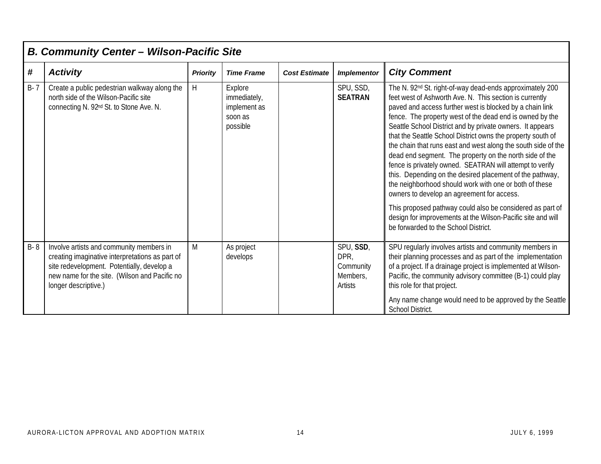|         | <b>B. Community Center - Wilson-Pacific Site</b>                                                                                                                                                                   |                 |                                                                |                      |                                                       |                                                                                                                                                                                                                                                                                                                                                                                                                                                                                                                                                                                                                                                                                                                                                                                                                                                                                                                     |  |  |  |
|---------|--------------------------------------------------------------------------------------------------------------------------------------------------------------------------------------------------------------------|-----------------|----------------------------------------------------------------|----------------------|-------------------------------------------------------|---------------------------------------------------------------------------------------------------------------------------------------------------------------------------------------------------------------------------------------------------------------------------------------------------------------------------------------------------------------------------------------------------------------------------------------------------------------------------------------------------------------------------------------------------------------------------------------------------------------------------------------------------------------------------------------------------------------------------------------------------------------------------------------------------------------------------------------------------------------------------------------------------------------------|--|--|--|
| #       | <b>Activity</b>                                                                                                                                                                                                    | <b>Priority</b> | <b>Time Frame</b>                                              | <b>Cost Estimate</b> | <b>Implementor</b>                                    | <b>City Comment</b>                                                                                                                                                                                                                                                                                                                                                                                                                                                                                                                                                                                                                                                                                                                                                                                                                                                                                                 |  |  |  |
| $B - 7$ | Create a public pedestrian walkway along the<br>north side of the Wilson-Pacific site<br>connecting N. 92 <sup>nd</sup> St. to Stone Ave. N.                                                                       | H               | Explore<br>immediately,<br>implement as<br>soon as<br>possible |                      | SPU, SSD,<br><b>SEATRAN</b>                           | The N. 92 <sup>nd</sup> St. right-of-way dead-ends approximately 200<br>feet west of Ashworth Ave. N. This section is currently<br>paved and access further west is blocked by a chain link<br>fence. The property west of the dead end is owned by the<br>Seattle School District and by private owners. It appears<br>that the Seattle School District owns the property south of<br>the chain that runs east and west along the south side of the<br>dead end segment. The property on the north side of the<br>fence is privately owned. SEATRAN will attempt to verify<br>this. Depending on the desired placement of the pathway,<br>the neighborhood should work with one or both of these<br>owners to develop an agreement for access.<br>This proposed pathway could also be considered as part of<br>design for improvements at the Wilson-Pacific site and will<br>be forwarded to the School District. |  |  |  |
| B-8     | Involve artists and community members in<br>creating imaginative interpretations as part of<br>site redevelopment. Potentially, develop a<br>new name for the site. (Wilson and Pacific no<br>longer descriptive.) | M               | As project<br>develops                                         |                      | SPU, SSD,<br>DPR,<br>Community<br>Members,<br>Artists | SPU regularly involves artists and community members in<br>their planning processes and as part of the implementation<br>of a project. If a drainage project is implemented at Wilson-<br>Pacific, the community advisory committee (B-1) could play<br>this role for that project.<br>Any name change would need to be approved by the Seattle<br><b>School District.</b>                                                                                                                                                                                                                                                                                                                                                                                                                                                                                                                                          |  |  |  |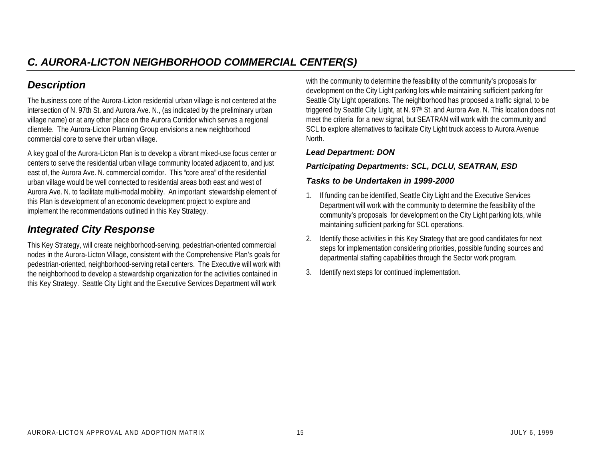### *Description*

The business core of the Aurora-Licton residential urban village is not centered at the intersection of N. 97th St. and Aurora Ave. N., (as indicated by the preliminary urban village name) or at any other place on the Aurora Corridor which serves a regional clientele. The Aurora-Licton Planning Group envisions a new neighborhood commercial core to serve their urban village.

A key goal of the Aurora-Licton Plan is to develop a vibrant mixed-use focus center or centers to serve the residential urban village community located adjacent to, and just east of, the Aurora Ave. N. commercial corridor. This "core area" of the residential urban village would be well connected to residential areas both east and west of Aurora Ave. N. to facilitate multi-modal mobility. An important stewardship element of this Plan is development of an economic development project to explore and implement the recommendations outlined in this Key Strategy.

### *Integrated City Response*

This Key Strategy, will create neighborhood-serving, pedestrian-oriented commercial nodes in the Aurora-Licton Village, consistent with the Comprehensive Plan's goals for pedestrian-oriented, neighborhood-serving retail centers. The Executive will work with the neighborhood to develop a stewardship organization for the activities contained in this Key Strategy. Seattle City Light and the Executive Services Department will work

with the community to determine the feasibility of the community's proposals for development on the City Light parking lots while maintaining sufficient parking for Seattle City Light operations. The neighborhood has proposed a traffic signal, to be triggered by Seattle City Light, at N. 97<sup>th</sup> St. and Aurora Ave. N. This location does not meet the criteria for a new signal, but SEATRAN will work with the community and SCL to explore alternatives to facilitate City Light truck access to Aurora Avenue North.

#### *Lead Department: DON*

#### *Participating Departments: SCL, DCLU, SEATRAN, ESD*

- 1. If funding can be identified, Seattle City Light and the Executive Services Department will work with the community to determine the feasibility of the community's proposals for development on the City Light parking lots, while maintaining sufficient parking for SCL operations.
- 2. Identify those activities in this Key Strategy that are good candidates for next steps for implementation considering priorities, possible funding sources and departmental staffing capabilities through the Sector work program.
- 3. Identify next steps for continued implementation.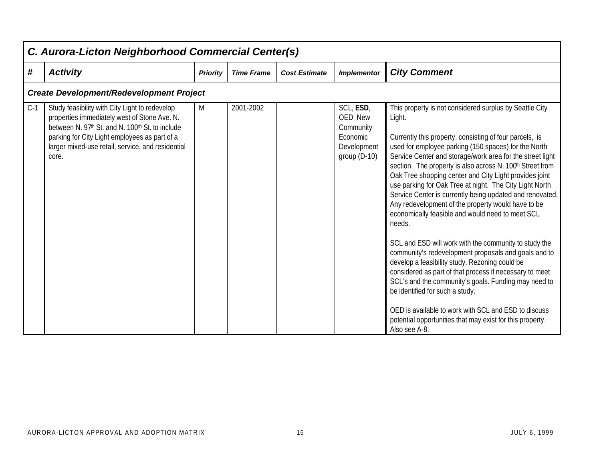|       | C. Aurora-Licton Neighborhood Commercial Center(s)                                                                                                                                                                                                               |                 |                   |                      |                                                                                       |                                                                                                                                                                                                                                                                                                                                                                                                                                                                                                                                                                                                                                                                                                                                                                                                                                                                                                                                                                                                                                                                                    |  |  |  |  |  |
|-------|------------------------------------------------------------------------------------------------------------------------------------------------------------------------------------------------------------------------------------------------------------------|-----------------|-------------------|----------------------|---------------------------------------------------------------------------------------|------------------------------------------------------------------------------------------------------------------------------------------------------------------------------------------------------------------------------------------------------------------------------------------------------------------------------------------------------------------------------------------------------------------------------------------------------------------------------------------------------------------------------------------------------------------------------------------------------------------------------------------------------------------------------------------------------------------------------------------------------------------------------------------------------------------------------------------------------------------------------------------------------------------------------------------------------------------------------------------------------------------------------------------------------------------------------------|--|--|--|--|--|
| #     | <b>Activity</b>                                                                                                                                                                                                                                                  | <b>Priority</b> | <b>Time Frame</b> | <b>Cost Estimate</b> | <b>Implementor</b>                                                                    | <b>City Comment</b>                                                                                                                                                                                                                                                                                                                                                                                                                                                                                                                                                                                                                                                                                                                                                                                                                                                                                                                                                                                                                                                                |  |  |  |  |  |
|       | <b>Create Development/Redevelopment Project</b>                                                                                                                                                                                                                  |                 |                   |                      |                                                                                       |                                                                                                                                                                                                                                                                                                                                                                                                                                                                                                                                                                                                                                                                                                                                                                                                                                                                                                                                                                                                                                                                                    |  |  |  |  |  |
| $C-1$ | Study feasibility with City Light to redevelop<br>properties immediately west of Stone Ave. N.<br>between N. 97th St. and N. 100th St. to include<br>parking for City Light employees as part of a<br>larger mixed-use retail, service, and residential<br>core. | M               | 2001-2002         |                      | SCL, ESD,<br><b>OED New</b><br>Community<br>Economic<br>Development<br>group $(D-10)$ | This property is not considered surplus by Seattle City<br>Light.<br>Currently this property, consisting of four parcels, is<br>used for employee parking (150 spaces) for the North<br>Service Center and storage/work area for the street light<br>section. The property is also across N. 100th Street from<br>Oak Tree shopping center and City Light provides joint<br>use parking for Oak Tree at night. The City Light North<br>Service Center is currently being updated and renovated.<br>Any redevelopment of the property would have to be<br>economically feasible and would need to meet SCL<br>needs.<br>SCL and ESD will work with the community to study the<br>community's redevelopment proposals and goals and to<br>develop a feasibility study. Rezoning could be<br>considered as part of that process if necessary to meet<br>SCL's and the community's goals. Funding may need to<br>be identified for such a study.<br>OED is available to work with SCL and ESD to discuss<br>potential opportunities that may exist for this property.<br>Also see A-8. |  |  |  |  |  |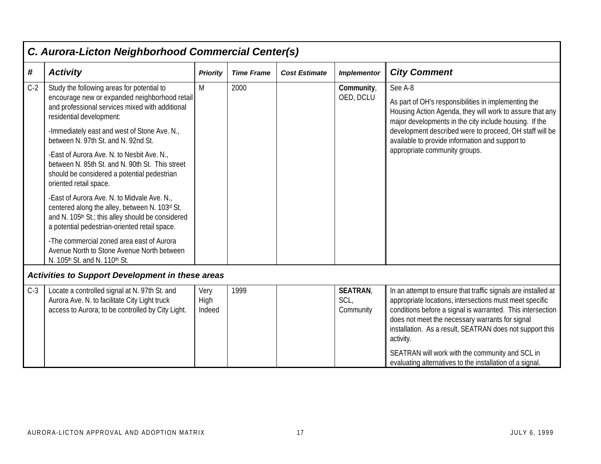|            | C. Aurora-Licton Neighborhood Commercial Center(s)                                                                                                                                                 |                        |                   |                      |                                     |                                                                                                                                                                                                                                                                                                                                                                                                                                   |  |  |  |  |
|------------|----------------------------------------------------------------------------------------------------------------------------------------------------------------------------------------------------|------------------------|-------------------|----------------------|-------------------------------------|-----------------------------------------------------------------------------------------------------------------------------------------------------------------------------------------------------------------------------------------------------------------------------------------------------------------------------------------------------------------------------------------------------------------------------------|--|--|--|--|
| $\pmb{\#}$ | <b>Activity</b>                                                                                                                                                                                    | <b>Priority</b>        | <b>Time Frame</b> | <b>Cost Estimate</b> | <b>Implementor</b>                  | <b>City Comment</b>                                                                                                                                                                                                                                                                                                                                                                                                               |  |  |  |  |
| $C-2$      | Study the following areas for potential to<br>encourage new or expanded neighborhood retail<br>and professional services mixed with additional<br>residential development:                         | M                      | 2000              |                      | Community,<br>OED, DCLU             | See A-8<br>As part of OH's responsibilities in implementing the<br>Housing Action Agenda, they will work to assure that any<br>major developments in the city include housing. If the                                                                                                                                                                                                                                             |  |  |  |  |
|            | -Immediately east and west of Stone Ave. N.,<br>between N. 97th St. and N. 92nd St.                                                                                                                |                        |                   |                      |                                     | development described were to proceed, OH staff will be<br>available to provide information and support to                                                                                                                                                                                                                                                                                                                        |  |  |  |  |
|            | -East of Aurora Ave. N. to Nesbit Ave. N.,<br>between N. 85th St. and N. 90th St. This street<br>should be considered a potential pedestrian<br>oriented retail space.                             |                        |                   |                      |                                     | appropriate community groups.                                                                                                                                                                                                                                                                                                                                                                                                     |  |  |  |  |
|            | -East of Aurora Ave. N. to Midvale Ave. N.,<br>centered along the alley, between N. 103d St.<br>and N. 105th St.; this alley should be considered<br>a potential pedestrian-oriented retail space. |                        |                   |                      |                                     |                                                                                                                                                                                                                                                                                                                                                                                                                                   |  |  |  |  |
|            | -The commercial zoned area east of Aurora<br>Avenue North to Stone Avenue North between<br>N. 105th St. and N. 110th St.                                                                           |                        |                   |                      |                                     |                                                                                                                                                                                                                                                                                                                                                                                                                                   |  |  |  |  |
|            | Activities to Support Development in these areas                                                                                                                                                   |                        |                   |                      |                                     |                                                                                                                                                                                                                                                                                                                                                                                                                                   |  |  |  |  |
| $C-3$      | Locate a controlled signal at N. 97th St. and<br>Aurora Ave. N. to facilitate City Light truck<br>access to Aurora; to be controlled by City Light.                                                | Very<br>High<br>Indeed | 1999              |                      | <b>SEATRAN</b><br>SCL,<br>Community | In an attempt to ensure that traffic signals are installed at<br>appropriate locations, intersections must meet specific<br>conditions before a signal is warranted. This intersection<br>does not meet the necessary warrants for signal<br>installation. As a result, SEATRAN does not support this<br>activity.<br>SEATRAN will work with the community and SCL in<br>evaluating alternatives to the installation of a signal. |  |  |  |  |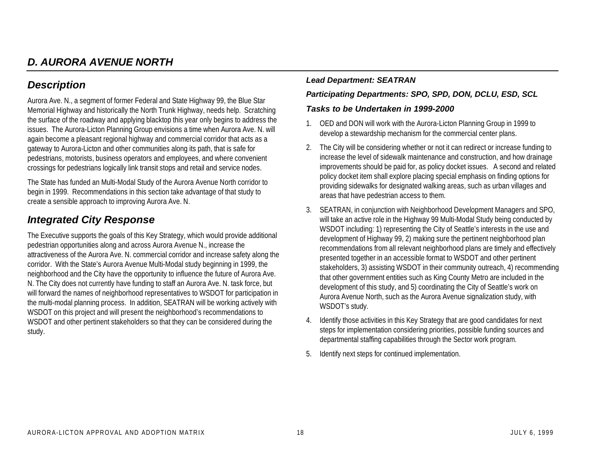### *D. AURORA AVENUE NORTH*

### *Description*

Aurora Ave. N., a segment of former Federal and State Highway 99, the Blue Star Memorial Highway and historically the North Trunk Highway, needs help. Scratching the surface of the roadway and applying blacktop this year only begins to address the issues. The Aurora-Licton Planning Group envisions a time when Aurora Ave. N. will again become a pleasant regional highway and commercial corridor that acts as a gateway to Aurora-Licton and other communities along its path, that is safe for pedestrians, motorists, business operators and employees, and where convenient crossings for pedestrians logically link transit stops and retail and service nodes.

The State has funded an Multi-Modal Study of the Aurora Avenue North corridor to begin in 1999. Recommendations in this section take advantage of that study to create a sensible approach to improving Aurora Ave. N.

### *Integrated City Response*

The Executive supports the goals of this Key Strategy, which would provide additional pedestrian opportunities along and across Aurora Avenue N., increase the attractiveness of the Aurora Ave. N. commercial corridor and increase safety along the corridor. With the State's Aurora Avenue Multi-Modal study beginning in 1999, the neighborhood and the City have the opportunity to influence the future of Aurora Ave. N. The City does not currently have funding to staff an Aurora Ave. N. task force, but will forward the names of neighborhood representatives to WSDOT for participation in the multi-modal planning process. In addition, SEATRAN will be working actively with WSDOT on this project and will present the neighborhood's recommendations to WSDOT and other pertinent stakeholders so that they can be considered during the study.

### *Lead Department: SEATRAN*

#### *Participating Departments: SPO, SPD, DON, DCLU, ESD, SCL*

- 1. OED and DON will work with the Aurora-Licton Planning Group in 1999 to develop a stewardship mechanism for the commercial center plans.
- 2. The City will be considering whether or not it can redirect or increase funding to increase the level of sidewalk maintenance and construction, and how drainage improvements should be paid for, as policy docket issues. A second and related policy docket item shall explore placing special emphasis on finding options for providing sidewalks for designated walking areas, such as urban villages and areas that have pedestrian access to them.
- 3. SEATRAN, in conjunction with Neighborhood Development Managers and SPO, will take an active role in the Highway 99 Multi-Modal Study being conducted by WSDOT including: 1) representing the City of Seattle's interests in the use and development of Highway 99, 2) making sure the pertinent neighborhood plan recommendations from all relevant neighborhood plans are timely and effectively presented together in an accessible format to WSDOT and other pertinent stakeholders, 3) assisting WSDOT in their community outreach, 4) recommending that other government entities such as King County Metro are included in the development of this study, and 5) coordinating the City of Seattle's work on Aurora Avenue North, such as the Aurora Avenue signalization study, with WSDOT's study.
- 4. Identify those activities in this Key Strategy that are good candidates for next steps for implementation considering priorities, possible funding sources and departmental staffing capabilities through the Sector work program.
- 5. Identify next steps for continued implementation.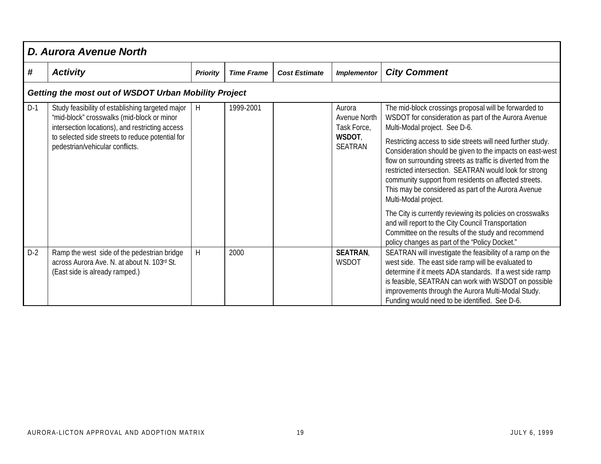|       | <b>D. Aurora Avenue North</b>                                                                                                                                                                                                            |                 |                   |                      |                                                                   |                                                                                                                                                                                                                                                                                                                                                                                                                                                                                                                                                                                                           |  |  |  |  |
|-------|------------------------------------------------------------------------------------------------------------------------------------------------------------------------------------------------------------------------------------------|-----------------|-------------------|----------------------|-------------------------------------------------------------------|-----------------------------------------------------------------------------------------------------------------------------------------------------------------------------------------------------------------------------------------------------------------------------------------------------------------------------------------------------------------------------------------------------------------------------------------------------------------------------------------------------------------------------------------------------------------------------------------------------------|--|--|--|--|
| #     | <b>Activity</b>                                                                                                                                                                                                                          | <b>Priority</b> | <b>Time Frame</b> | <b>Cost Estimate</b> | <b>Implementor</b>                                                | <b>City Comment</b>                                                                                                                                                                                                                                                                                                                                                                                                                                                                                                                                                                                       |  |  |  |  |
|       | Getting the most out of WSDOT Urban Mobility Project                                                                                                                                                                                     |                 |                   |                      |                                                                   |                                                                                                                                                                                                                                                                                                                                                                                                                                                                                                                                                                                                           |  |  |  |  |
| $D-1$ | Study feasibility of establishing targeted major<br>"mid-block" crosswalks (mid-block or minor<br>intersection locations), and restricting access<br>to selected side streets to reduce potential for<br>pedestrian/vehicular conflicts. | H               | 1999-2001         |                      | Aurora<br>Avenue North<br>Task Force,<br>WSDOT,<br><b>SEATRAN</b> | The mid-block crossings proposal will be forwarded to<br>WSDOT for consideration as part of the Aurora Avenue<br>Multi-Modal project. See D-6.<br>Restricting access to side streets will need further study.<br>Consideration should be given to the impacts on east-west<br>flow on surrounding streets as traffic is diverted from the<br>restricted intersection. SEATRAN would look for strong<br>community support from residents on affected streets.<br>This may be considered as part of the Aurora Avenue<br>Multi-Modal project.<br>The City is currently reviewing its policies on crosswalks |  |  |  |  |
|       |                                                                                                                                                                                                                                          |                 |                   |                      |                                                                   | and will report to the City Council Transportation<br>Committee on the results of the study and recommend<br>policy changes as part of the "Policy Docket."                                                                                                                                                                                                                                                                                                                                                                                                                                               |  |  |  |  |
| $D-2$ | Ramp the west side of the pedestrian bridge<br>across Aurora Ave. N. at about N. 103rd St.<br>(East side is already ramped.)                                                                                                             | H               | 2000              |                      | <b>SEATRAN</b><br>WSDOT                                           | SEATRAN will investigate the feasibility of a ramp on the<br>west side. The east side ramp will be evaluated to<br>determine if it meets ADA standards. If a west side ramp<br>is feasible, SEATRAN can work with WSDOT on possible<br>improvements through the Aurora Multi-Modal Study.<br>Funding would need to be identified. See D-6.                                                                                                                                                                                                                                                                |  |  |  |  |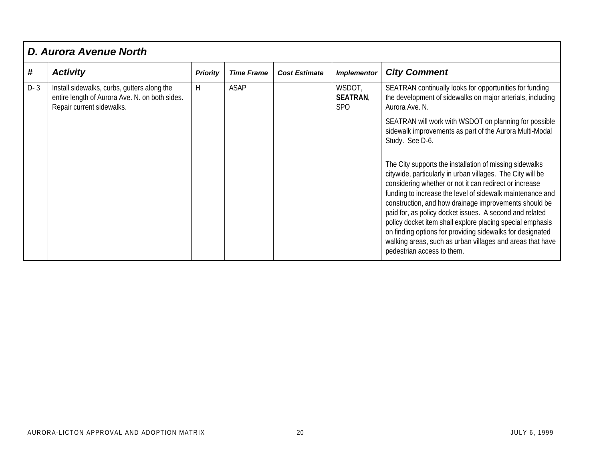|       | <b>D. Aurora Avenue North</b>                                                                                              |                 |                   |                      |                                        |                                                                                                                                                                                                                                                                                                                                                                                                                                                                                                                                                                                       |  |  |  |  |
|-------|----------------------------------------------------------------------------------------------------------------------------|-----------------|-------------------|----------------------|----------------------------------------|---------------------------------------------------------------------------------------------------------------------------------------------------------------------------------------------------------------------------------------------------------------------------------------------------------------------------------------------------------------------------------------------------------------------------------------------------------------------------------------------------------------------------------------------------------------------------------------|--|--|--|--|
| #     | <b>Activity</b>                                                                                                            | <b>Priority</b> | <b>Time Frame</b> | <b>Cost Estimate</b> | <b>Implementor</b>                     | <b>City Comment</b>                                                                                                                                                                                                                                                                                                                                                                                                                                                                                                                                                                   |  |  |  |  |
| $D-3$ | Install sidewalks, curbs, gutters along the<br>entire length of Aurora Ave. N. on both sides.<br>Repair current sidewalks. | H               | <b>ASAP</b>       |                      | WSDOT,<br><b>SEATRAN</b><br><b>SPO</b> | SEATRAN continually looks for opportunities for funding<br>the development of sidewalks on major arterials, including<br>Aurora Ave. N.<br>SEATRAN will work with WSDOT on planning for possible<br>sidewalk improvements as part of the Aurora Multi-Modal<br>Study. See D-6.                                                                                                                                                                                                                                                                                                        |  |  |  |  |
|       |                                                                                                                            |                 |                   |                      |                                        | The City supports the installation of missing sidewalks<br>citywide, particularly in urban villages. The City will be<br>considering whether or not it can redirect or increase<br>funding to increase the level of sidewalk maintenance and<br>construction, and how drainage improvements should be<br>paid for, as policy docket issues. A second and related<br>policy docket item shall explore placing special emphasis<br>on finding options for providing sidewalks for designated<br>walking areas, such as urban villages and areas that have<br>pedestrian access to them. |  |  |  |  |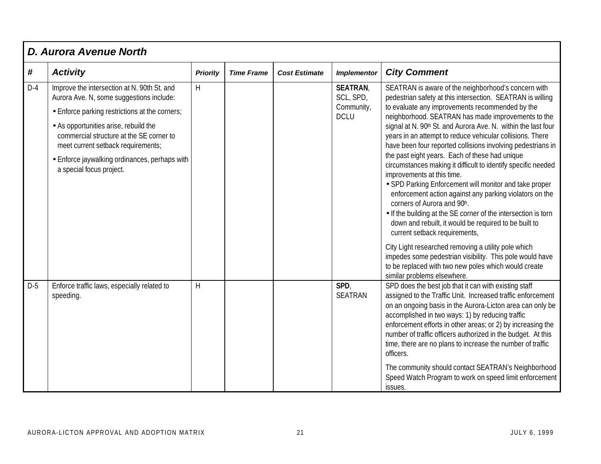|       | <b>D. Aurora Avenue North</b>                                                                                           |                 |                   |                      |                             |                                                                                                                                                                                                                                                                                                                                                                                                                                                              |  |  |  |  |  |
|-------|-------------------------------------------------------------------------------------------------------------------------|-----------------|-------------------|----------------------|-----------------------------|--------------------------------------------------------------------------------------------------------------------------------------------------------------------------------------------------------------------------------------------------------------------------------------------------------------------------------------------------------------------------------------------------------------------------------------------------------------|--|--|--|--|--|
| #     | <b>Activity</b>                                                                                                         | <b>Priority</b> | <b>Time Frame</b> | <b>Cost Estimate</b> | <b>Implementor</b>          | <b>City Comment</b>                                                                                                                                                                                                                                                                                                                                                                                                                                          |  |  |  |  |  |
| $D-4$ | Improve the intersection at N. 90th St. and<br>Aurora Ave. N, some suggestions include:                                 | H               |                   |                      | <b>SEATRAN</b><br>SCL, SPD, | SEATRAN is aware of the neighborhood's concern with<br>pedestrian safety at this intersection. SEATRAN is willing                                                                                                                                                                                                                                                                                                                                            |  |  |  |  |  |
|       | • Enforce parking restrictions at the corners;                                                                          |                 |                   |                      | Community,<br><b>DCLU</b>   | to evaluate any improvements recommended by the<br>neighborhood. SEATRAN has made improvements to the                                                                                                                                                                                                                                                                                                                                                        |  |  |  |  |  |
|       | • As opportunities arise, rebuild the<br>commercial structure at the SE corner to<br>meet current setback requirements; |                 |                   |                      |                             | signal at N. 90th St. and Aurora Ave. N. within the last four<br>years in an attempt to reduce vehicular collisions. There<br>have been four reported collisions involving pedestrians in                                                                                                                                                                                                                                                                    |  |  |  |  |  |
|       | • Enforce jaywalking ordinances, perhaps with<br>a special focus project.                                               |                 |                   |                      |                             | the past eight years. Each of these had unique<br>circumstances making it difficult to identify specific needed<br>improvements at this time.<br>• SPD Parking Enforcement will monitor and take proper<br>enforcement action against any parking violators on the<br>corners of Aurora and 90h.<br>• If the building at the SE corner of the intersection is torn<br>down and rebuilt, it would be required to be built to<br>current setback requirements, |  |  |  |  |  |
|       |                                                                                                                         |                 |                   |                      |                             | City Light researched removing a utility pole which<br>impedes some pedestrian visibility. This pole would have<br>to be replaced with two new poles which would create<br>similar problems elsewhere.                                                                                                                                                                                                                                                       |  |  |  |  |  |
| $D-5$ | Enforce traffic laws, especially related to<br>speeding.                                                                | H               |                   |                      | SPD,<br><b>SEATRAN</b>      | SPD does the best job that it can with existing staff<br>assigned to the Traffic Unit. Increased traffic enforcement<br>on an ongoing basis in the Aurora-Licton area can only be<br>accomplished in two ways: 1) by reducing traffic<br>enforcement efforts in other areas; or 2) by increasing the<br>number of traffic officers authorized in the budget. At this<br>time, there are no plans to increase the number of traffic<br>officers.              |  |  |  |  |  |
|       |                                                                                                                         |                 |                   |                      |                             | The community should contact SEATRAN's Neighborhood<br>Speed Watch Program to work on speed limit enforcement<br>issues.                                                                                                                                                                                                                                                                                                                                     |  |  |  |  |  |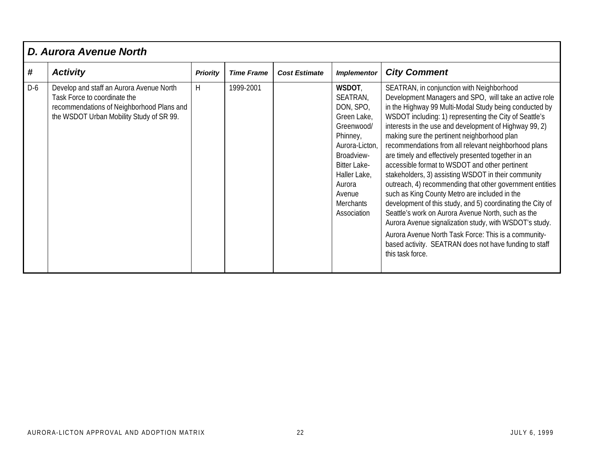|       | D. Aurora Avenue North                                                                                                                                            |                 |                   |                      |                                                                                                                                                                                                        |                                                                                                                                                                                                                                                                                                                                                                                                                                                                                                                                                                                                                                                                                                                                                                                                                                                                                                                                                                                           |  |  |  |  |
|-------|-------------------------------------------------------------------------------------------------------------------------------------------------------------------|-----------------|-------------------|----------------------|--------------------------------------------------------------------------------------------------------------------------------------------------------------------------------------------------------|-------------------------------------------------------------------------------------------------------------------------------------------------------------------------------------------------------------------------------------------------------------------------------------------------------------------------------------------------------------------------------------------------------------------------------------------------------------------------------------------------------------------------------------------------------------------------------------------------------------------------------------------------------------------------------------------------------------------------------------------------------------------------------------------------------------------------------------------------------------------------------------------------------------------------------------------------------------------------------------------|--|--|--|--|
| #     | <b>Activity</b>                                                                                                                                                   | <b>Priority</b> | <b>Time Frame</b> | <b>Cost Estimate</b> | <b>Implementor</b>                                                                                                                                                                                     | <b>City Comment</b>                                                                                                                                                                                                                                                                                                                                                                                                                                                                                                                                                                                                                                                                                                                                                                                                                                                                                                                                                                       |  |  |  |  |
| $D-6$ | Develop and staff an Aurora Avenue North<br>Task Force to coordinate the<br>recommendations of Neighborhood Plans and<br>the WSDOT Urban Mobility Study of SR 99. | H               | 1999-2001         |                      | WSDOT,<br>SEATRAN,<br>DON, SPO,<br>Green Lake,<br>Greenwood/<br>Phinney,<br>Aurora-Licton,<br>Broadview-<br><b>Bitter Lake-</b><br>Haller Lake,<br>Aurora<br>Avenue<br><b>Merchants</b><br>Association | SEATRAN, in conjunction with Neighborhood<br>Development Managers and SPO, will take an active role<br>in the Highway 99 Multi-Modal Study being conducted by<br>WSDOT including: 1) representing the City of Seattle's<br>interests in the use and development of Highway 99, 2)<br>making sure the pertinent neighborhood plan<br>recommendations from all relevant neighborhood plans<br>are timely and effectively presented together in an<br>accessible format to WSDOT and other pertinent<br>stakeholders, 3) assisting WSDOT in their community<br>outreach, 4) recommending that other government entities<br>such as King County Metro are included in the<br>development of this study, and 5) coordinating the City of<br>Seattle's work on Aurora Avenue North, such as the<br>Aurora Avenue signalization study, with WSDOT's study.<br>Aurora Avenue North Task Force: This is a community-<br>based activity. SEATRAN does not have funding to staff<br>this task force. |  |  |  |  |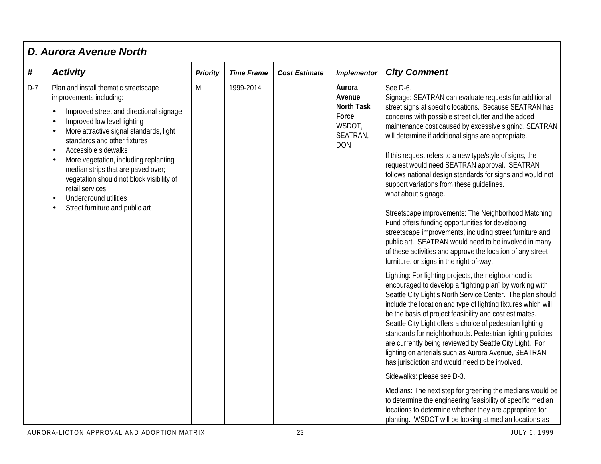|       | <b>D. Aurora Avenue North</b>                                                                                                                                                                                                                                                                                                                                                                                                                                                                                                                       |                 |                   |                      |                                                                                     |                                                                                                                                                                                                                                                                                                                                                                                                                                                                                                                                                                                                                                                                                                                                                                                                                                                                                                                                                                                                                                                                                                                                                                                                                                                                                                                                                                                                                                                                                                                                                                                                                                                                                                                                                                                       |  |  |  |  |
|-------|-----------------------------------------------------------------------------------------------------------------------------------------------------------------------------------------------------------------------------------------------------------------------------------------------------------------------------------------------------------------------------------------------------------------------------------------------------------------------------------------------------------------------------------------------------|-----------------|-------------------|----------------------|-------------------------------------------------------------------------------------|---------------------------------------------------------------------------------------------------------------------------------------------------------------------------------------------------------------------------------------------------------------------------------------------------------------------------------------------------------------------------------------------------------------------------------------------------------------------------------------------------------------------------------------------------------------------------------------------------------------------------------------------------------------------------------------------------------------------------------------------------------------------------------------------------------------------------------------------------------------------------------------------------------------------------------------------------------------------------------------------------------------------------------------------------------------------------------------------------------------------------------------------------------------------------------------------------------------------------------------------------------------------------------------------------------------------------------------------------------------------------------------------------------------------------------------------------------------------------------------------------------------------------------------------------------------------------------------------------------------------------------------------------------------------------------------------------------------------------------------------------------------------------------------|--|--|--|--|
| #     | <b>Activity</b>                                                                                                                                                                                                                                                                                                                                                                                                                                                                                                                                     | <b>Priority</b> | <b>Time Frame</b> | <b>Cost Estimate</b> | <b>Implementor</b>                                                                  | <b>City Comment</b>                                                                                                                                                                                                                                                                                                                                                                                                                                                                                                                                                                                                                                                                                                                                                                                                                                                                                                                                                                                                                                                                                                                                                                                                                                                                                                                                                                                                                                                                                                                                                                                                                                                                                                                                                                   |  |  |  |  |
| $D-7$ | Plan and install thematic streetscape<br>improvements including:<br>Improved street and directional signage<br>$\bullet$<br>Improved low level lighting<br>$\bullet$<br>More attractive signal standards, light<br>$\bullet$<br>standards and other fixtures<br>Accessible sidewalks<br>$\bullet$<br>More vegetation, including replanting<br>$\bullet$<br>median strips that are paved over;<br>vegetation should not block visibility of<br>retail services<br>Underground utilities<br>$\bullet$<br>Street furniture and public art<br>$\bullet$ | M               | 1999-2014         |                      | Aurora<br>Avenue<br><b>North Task</b><br>Force,<br>WSDOT,<br>SEATRAN,<br><b>DON</b> | See D-6.<br>Signage: SEATRAN can evaluate requests for additional<br>street signs at specific locations. Because SEATRAN has<br>concerns with possible street clutter and the added<br>maintenance cost caused by excessive signing, SEATRAN<br>will determine if additional signs are appropriate.<br>If this request refers to a new type/style of signs, the<br>request would need SEATRAN approval. SEATRAN<br>follows national design standards for signs and would not<br>support variations from these guidelines.<br>what about signage.<br>Streetscape improvements: The Neighborhood Matching<br>Fund offers funding opportunities for developing<br>streetscape improvements, including street furniture and<br>public art. SEATRAN would need to be involved in many<br>of these activities and approve the location of any street<br>furniture, or signs in the right-of-way.<br>Lighting: For lighting projects, the neighborhood is<br>encouraged to develop a 'lighting plan" by working with<br>Seattle City Light's North Service Center. The plan should<br>include the location and type of lighting fixtures which will<br>be the basis of project feasibility and cost estimates.<br>Seattle City Light offers a choice of pedestrian lighting<br>standards for neighborhoods. Pedestrian lighting policies<br>are currently being reviewed by Seattle City Light. For<br>lighting on arterials such as Aurora Avenue, SEATRAN<br>has jurisdiction and would need to be involved.<br>Sidewalks: please see D-3.<br>Medians: The next step for greening the medians would be<br>to determine the engineering feasibility of specific median<br>locations to determine whether they are appropriate for<br>planting. WSDOT will be looking at median locations as |  |  |  |  |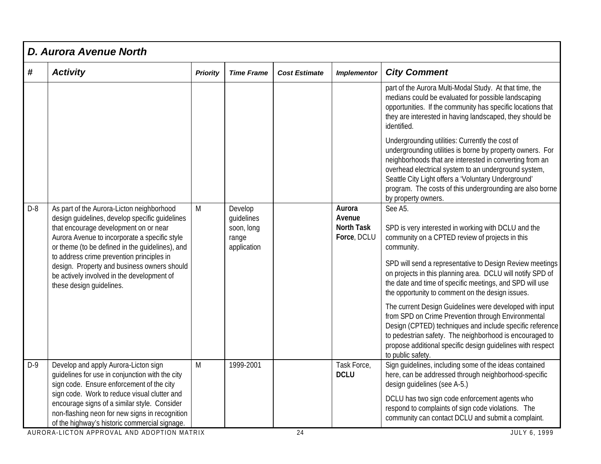|       | <b>D. Aurora Avenue North</b>                                                                                                                                                                                                                                                                                                                                                                                  |                 |                                                             |                      |                                                      |                                                                                                                                                                                                                                                                                                                                                                                                                                                                                                                                                                                                                                                                                                      |  |  |  |  |
|-------|----------------------------------------------------------------------------------------------------------------------------------------------------------------------------------------------------------------------------------------------------------------------------------------------------------------------------------------------------------------------------------------------------------------|-----------------|-------------------------------------------------------------|----------------------|------------------------------------------------------|------------------------------------------------------------------------------------------------------------------------------------------------------------------------------------------------------------------------------------------------------------------------------------------------------------------------------------------------------------------------------------------------------------------------------------------------------------------------------------------------------------------------------------------------------------------------------------------------------------------------------------------------------------------------------------------------------|--|--|--|--|
| #     | <b>Activity</b>                                                                                                                                                                                                                                                                                                                                                                                                | <b>Priority</b> | <b>Time Frame</b>                                           | <b>Cost Estimate</b> | <b>Implementor</b>                                   | <b>City Comment</b>                                                                                                                                                                                                                                                                                                                                                                                                                                                                                                                                                                                                                                                                                  |  |  |  |  |
|       |                                                                                                                                                                                                                                                                                                                                                                                                                |                 |                                                             |                      |                                                      | part of the Aurora Multi-Modal Study. At that time, the<br>medians could be evaluated for possible landscaping<br>opportunities. If the community has specific locations that<br>they are interested in having landscaped, they should be<br>identified.                                                                                                                                                                                                                                                                                                                                                                                                                                             |  |  |  |  |
|       |                                                                                                                                                                                                                                                                                                                                                                                                                |                 |                                                             |                      |                                                      | Undergrounding utilities: Currently the cost of<br>undergrounding utilities is borne by property owners. For<br>neighborhoods that are interested in converting from an<br>overhead electrical system to an underground system,<br>Seattle City Light offers a Voluntary Underground'<br>program. The costs of this undergrounding are also borne<br>by property owners.                                                                                                                                                                                                                                                                                                                             |  |  |  |  |
| $D-8$ | As part of the Aurora-Licton neighborhood<br>design quidelines, develop specific quidelines<br>that encourage development on or near<br>Aurora Avenue to incorporate a specific style<br>or theme (to be defined in the guidelines), and<br>to address crime prevention principles in<br>design. Property and business owners should<br>be actively involved in the development of<br>these design guidelines. | M               | Develop<br>quidelines<br>soon, long<br>range<br>application |                      | Aurora<br>Avenue<br><b>North Task</b><br>Force, DCLU | See A5.<br>SPD is very interested in working with DCLU and the<br>community on a CPTED review of projects in this<br>community.<br>SPD will send a representative to Design Review meetings<br>on projects in this planning area. DCLU will notify SPD of<br>the date and time of specific meetings, and SPD will use<br>the opportunity to comment on the design issues.<br>The current Design Guidelines were developed with input<br>from SPD on Crime Prevention through Environmental<br>Design (CPTED) techniques and include specific reference<br>to pedestrian safety. The neighborhood is encouraged to<br>propose additional specific design guidelines with respect<br>to public safety. |  |  |  |  |
| $D-9$ | Develop and apply Aurora-Licton sign<br>guidelines for use in conjunction with the city<br>sign code. Ensure enforcement of the city<br>sign code. Work to reduce visual clutter and<br>encourage signs of a similar style. Consider<br>non-flashing neon for new signs in recognition<br>of the highway's historic commercial signage.                                                                        | M               | 1999-2001                                                   |                      | Task Force,<br><b>DCLU</b>                           | Sign guidelines, including some of the ideas contained<br>here, can be addressed through neighborhood-specific<br>design guidelines (see A-5.)<br>DCLU has two sign code enforcement agents who<br>respond to complaints of sign code violations. The<br>community can contact DCLU and submit a complaint.                                                                                                                                                                                                                                                                                                                                                                                          |  |  |  |  |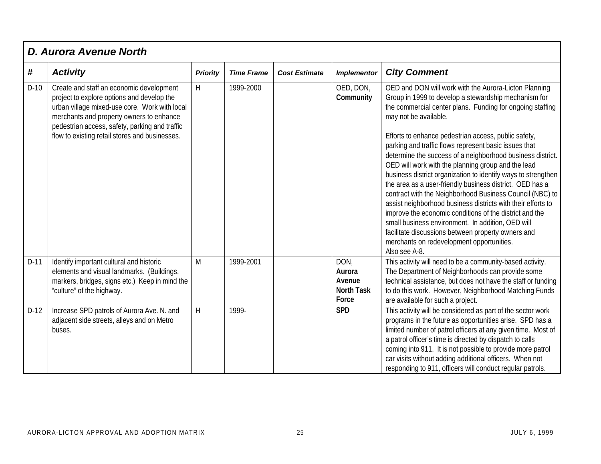|        | <b>D. Aurora Avenue North</b>                                                                                                                                                                                                                                                           |                 |                   |                      |                                                        |                                                                                                                                                                                                                                                                                                                                                                                                                                                                                                                                                                                                                                                                                                                                                                                                                                                                                                                                       |  |  |  |  |
|--------|-----------------------------------------------------------------------------------------------------------------------------------------------------------------------------------------------------------------------------------------------------------------------------------------|-----------------|-------------------|----------------------|--------------------------------------------------------|---------------------------------------------------------------------------------------------------------------------------------------------------------------------------------------------------------------------------------------------------------------------------------------------------------------------------------------------------------------------------------------------------------------------------------------------------------------------------------------------------------------------------------------------------------------------------------------------------------------------------------------------------------------------------------------------------------------------------------------------------------------------------------------------------------------------------------------------------------------------------------------------------------------------------------------|--|--|--|--|
| #      | <b>Activity</b>                                                                                                                                                                                                                                                                         | <b>Priority</b> | <b>Time Frame</b> | <b>Cost Estimate</b> | <b>Implementor</b>                                     | <b>City Comment</b>                                                                                                                                                                                                                                                                                                                                                                                                                                                                                                                                                                                                                                                                                                                                                                                                                                                                                                                   |  |  |  |  |
| $D-10$ | Create and staff an economic development<br>project to explore options and develop the<br>urban village mixed-use core. Work with local<br>merchants and property owners to enhance<br>pedestrian access, safety, parking and traffic<br>flow to existing retail stores and businesses. | $\overline{H}$  | 1999-2000         |                      | OED, DON,<br>Community                                 | OED and DON will work with the Aurora-Licton Planning<br>Group in 1999 to develop a stewardship mechanism for<br>the commercial center plans. Funding for ongoing staffing<br>may not be available.<br>Efforts to enhance pedestrian access, public safety,<br>parking and traffic flows represent basic issues that<br>determine the success of a neighborhood business district.<br>OED will work with the planning group and the lead<br>business district organization to identify ways to strengthen<br>the area as a user-friendly business district. OED has a<br>contract with the Neighborhood Business Council (NBC) to<br>assist neighborhood business districts with their efforts to<br>improve the economic conditions of the district and the<br>small business environment. In addition, OED will<br>facilitate discussions between property owners and<br>merchants on redevelopment opportunities.<br>Also see A-8. |  |  |  |  |
| $D-11$ | Identify important cultural and historic<br>elements and visual landmarks. (Buildings,<br>markers, bridges, signs etc.) Keep in mind the<br>"culture" of the highway.                                                                                                                   | M               | 1999-2001         |                      | DON,<br>Aurora<br>Avenue<br><b>North Task</b><br>Force | This activity will need to be a community-based activity.<br>The Department of Neighborhoods can provide some<br>technical assistance, but does not have the staff or funding<br>to do this work. However, Neighborhood Matching Funds<br>are available for such a project.                                                                                                                                                                                                                                                                                                                                                                                                                                                                                                                                                                                                                                                           |  |  |  |  |
| $D-12$ | Increase SPD patrols of Aurora Ave. N. and<br>adjacent side streets, alleys and on Metro<br>buses.                                                                                                                                                                                      | H               | 1999-             |                      | <b>SPD</b>                                             | This activity will be considered as part of the sector work<br>programs in the future as opportunities arise. SPD has a<br>limited number of patrol officers at any given time. Most of<br>a patrol officer's time is directed by dispatch to calls<br>coming into 911. It is not possible to provide more patrol<br>car visits without adding additional officers. When not<br>responding to 911, officers will conduct regular patrols.                                                                                                                                                                                                                                                                                                                                                                                                                                                                                             |  |  |  |  |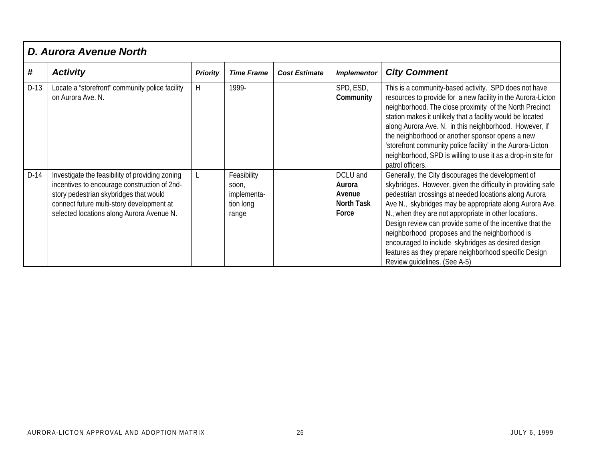|        | <b>D. Aurora Avenue North</b>                                                                                                                                                                                                       |                 |                                                           |                      |                                                            |                                                                                                                                                                                                                                                                                                                                                                                                                                                                                                                                                            |  |  |  |  |
|--------|-------------------------------------------------------------------------------------------------------------------------------------------------------------------------------------------------------------------------------------|-----------------|-----------------------------------------------------------|----------------------|------------------------------------------------------------|------------------------------------------------------------------------------------------------------------------------------------------------------------------------------------------------------------------------------------------------------------------------------------------------------------------------------------------------------------------------------------------------------------------------------------------------------------------------------------------------------------------------------------------------------------|--|--|--|--|
| #      | <b>Activity</b>                                                                                                                                                                                                                     | <b>Priority</b> | <b>Time Frame</b>                                         | <b>Cost Estimate</b> | <b>Implementor</b>                                         | <b>City Comment</b>                                                                                                                                                                                                                                                                                                                                                                                                                                                                                                                                        |  |  |  |  |
| $D-13$ | Locate a "storefront" community police facility<br>on Aurora Ave. N.                                                                                                                                                                | H               | 1999-                                                     |                      | SPD, ESD,<br>Community                                     | This is a community-based activity. SPD does not have<br>resources to provide for a new facility in the Aurora-Licton<br>neighborhood. The close proximity of the North Precinct<br>station makes it unlikely that a facility would be located<br>along Aurora Ave. N. in this neighborhood. However, if<br>the neighborhood or another sponsor opens a new<br>'storefront community police facility' in the Aurora-Licton<br>neighborhood, SPD is willing to use it as a drop-in site for<br>patrol officers.                                             |  |  |  |  |
| $D-14$ | Investigate the feasibility of providing zoning<br>incentives to encourage construction of 2nd-<br>story pedestrian skybridges that would<br>connect future multi-story development at<br>selected locations along Aurora Avenue N. |                 | Feasibility<br>soon,<br>implementa-<br>tion long<br>range |                      | DCLU and<br>Aurora<br>Avenue<br><b>North Task</b><br>Force | Generally, the City discourages the development of<br>skybridges. However, given the difficulty in providing safe<br>pedestrian crossings at needed locations along Aurora<br>Ave N., skybridges may be appropriate along Aurora Ave.<br>N., when they are not appropriate in other locations.<br>Design review can provide some of the incentive that the<br>neighborhood proposes and the neighborhood is<br>encouraged to include skybridges as desired design<br>features as they prepare neighborhood specific Design<br>Review guidelines. (See A-5) |  |  |  |  |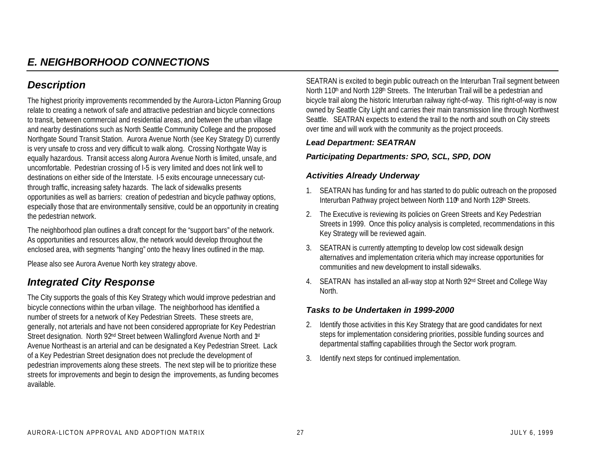### *E. NEIGHBORHOOD CONNECTIONS*

### *Description*

The highest priority improvements recommended by the Aurora-Licton Planning Group relate to creating a network of safe and attractive pedestrian and bicycle connections to transit, between commercial and residential areas, and between the urban village and nearby destinations such as North Seattle Community College and the proposed Northgate Sound Transit Station. Aurora Avenue North (see Key Strategy D) currently is very unsafe to cross and very difficult to walk along. Crossing Northgate Way is equally hazardous. Transit access along Aurora Avenue North is limited, unsafe, and uncomfortable. Pedestrian crossing of I-5 is very limited and does not link well to destinations on either side of the Interstate. I-5 exits encourage unnecessary cutthrough traffic, increasing safety hazards. The lack of sidewalks presents opportunities as well as barriers: creation of pedestrian and bicycle pathway options, especially those that are environmentally sensitive, could be an opportunity in creating the pedestrian network.

The neighborhood plan outlines a draft concept for the "support bars" of the network. As opportunities and resources allow, the network would develop throughout the enclosed area, with segments "hanging" onto the heavy lines outlined in the map.

Please also see Aurora Avenue North key strategy above.

### *Integrated City Response*

The City supports the goals of this Key Strategy which would improve pedestrian and bicycle connections within the urban village. The neighborhood has identified a number of streets for a network of Key Pedestrian Streets. These streets are, generally, not arterials and have not been considered appropriate for Key Pedestrian Street designation. North 92<sup>nd</sup> Street between Wallingford Avenue North and <sup>1st</sup> Avenue Northeast is an arterial and can be designated a Key Pedestrian Street. Lack of a Key Pedestrian Street designation does not preclude the development of pedestrian improvements along these streets. The next step will be to prioritize these streets for improvements and begin to design the improvements, as funding becomes available.

SEATRAN is excited to begin public outreach on the Interurban Trail segment between North 110<sup>th</sup> and North 128<sup>th</sup> Streets. The Interurban Trail will be a pedestrian and bicycle trail along the historic Interurban railway right-of-way. This right-of-way is now owned by Seattle City Light and carries their main transmission line through Northwest Seattle. SEATRAN expects to extend the trail to the north and south on City streets over time and will work with the community as the project proceeds.

#### *Lead Department: SEATRAN*

#### *Participating Departments: SPO, SCL, SPD, DON*

#### *Activities Already Underway*

- 1. SEATRAN has funding for and has started to do public outreach on the proposed Interurban Pathway project between North 110<sup>th</sup> and North 128<sup>th</sup> Streets.
- 2. The Executive is reviewing its policies on Green Streets and Key Pedestrian Streets in 1999. Once this policy analysis is completed, recommendations in this Key Strategy will be reviewed again.
- 3. SEATRAN is currently attempting to develop low cost sidewalk design alternatives and implementation criteria which may increase opportunities for communities and new development to install sidewalks.
- 4. SEATRAN has installed an all-way stop at North 92<sup>nd</sup> Street and College Way North.

- 2. Identify those activities in this Key Strategy that are good candidates for next steps for implementation considering priorities, possible funding sources and departmental staffing capabilities through the Sector work program.
- 3. Identify next steps for continued implementation.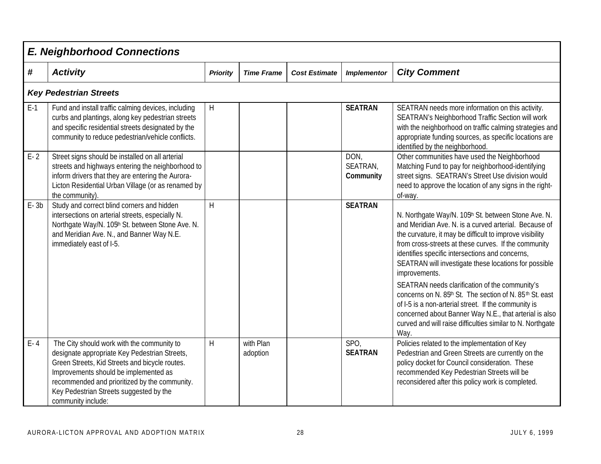|          | <b>E. Neighborhood Connections</b>                                                                                                                                                                                                                                                                       |                 |                       |                      |                               |                                                                                                                                                                                                                                                                                                                                                                                                                                                                                                                                                                                                                                                                    |  |  |  |  |
|----------|----------------------------------------------------------------------------------------------------------------------------------------------------------------------------------------------------------------------------------------------------------------------------------------------------------|-----------------|-----------------------|----------------------|-------------------------------|--------------------------------------------------------------------------------------------------------------------------------------------------------------------------------------------------------------------------------------------------------------------------------------------------------------------------------------------------------------------------------------------------------------------------------------------------------------------------------------------------------------------------------------------------------------------------------------------------------------------------------------------------------------------|--|--|--|--|
| #        | <b>Activity</b>                                                                                                                                                                                                                                                                                          | <b>Priority</b> | <b>Time Frame</b>     | <b>Cost Estimate</b> | <b>Implementor</b>            | <b>City Comment</b>                                                                                                                                                                                                                                                                                                                                                                                                                                                                                                                                                                                                                                                |  |  |  |  |
|          | <b>Key Pedestrian Streets</b>                                                                                                                                                                                                                                                                            |                 |                       |                      |                               |                                                                                                                                                                                                                                                                                                                                                                                                                                                                                                                                                                                                                                                                    |  |  |  |  |
| $E-1$    | Fund and install traffic calming devices, including<br>curbs and plantings, along key pedestrian streets<br>and specific residential streets designated by the<br>community to reduce pedestrian/vehicle conflicts.                                                                                      | H               |                       |                      | <b>SEATRAN</b>                | SEATRAN needs more information on this activity.<br>SEATRAN's Neighborhood Traffic Section will work<br>with the neighborhood on traffic calming strategies and<br>appropriate funding sources, as specific locations are<br>identified by the neighborhood.                                                                                                                                                                                                                                                                                                                                                                                                       |  |  |  |  |
| $E - 2$  | Street signs should be installed on all arterial<br>streets and highways entering the neighborhood to<br>inform drivers that they are entering the Aurora-<br>Licton Residential Urban Village (or as renamed by<br>the community).                                                                      |                 |                       |                      | DON,<br>SEATRAN,<br>Community | Other communities have used the Neighborhood<br>Matching Fund to pay for neighborhood-identifying<br>street signs. SEATRAN's Street Use division would<br>need to approve the location of any signs in the right-<br>of-way.                                                                                                                                                                                                                                                                                                                                                                                                                                       |  |  |  |  |
| $E - 3b$ | Study and correct blind corners and hidden<br>intersections on arterial streets, especially N.<br>Northgate Way/N. 105h St. between Stone Ave. N.<br>and Meridian Ave. N., and Banner Way N.E.<br>immediately east of I-5.                                                                               | H               |                       |                      | <b>SEATRAN</b>                | N. Northgate Way/N. 105th St. between Stone Ave. N.<br>and Meridian Ave. N. is a curved arterial. Because of<br>the curvature, it may be difficult to improve visibility<br>from cross-streets at these curves. If the community<br>identifies specific intersections and concerns,<br>SEATRAN will investigate these locations for possible<br>improvements.<br>SEATRAN needs clarification of the community's<br>concerns on N. 85th St. The section of N. 85th St. east<br>of I-5 is a non-arterial street. If the community is<br>concerned about Banner Way N.E., that arterial is also<br>curved and will raise difficulties similar to N. Northgate<br>Way. |  |  |  |  |
| $E - 4$  | The City should work with the community to<br>designate appropriate Key Pedestrian Streets,<br>Green Streets, Kid Streets and bicycle routes.<br>Improvements should be implemented as<br>recommended and prioritized by the community.<br>Key Pedestrian Streets suggested by the<br>community include: | H               | with Plan<br>adoption |                      | SPO,<br><b>SEATRAN</b>        | Policies related to the implementation of Key<br>Pedestrian and Green Streets are currently on the<br>policy docket for Council consideration. These<br>recommended Key Pedestrian Streets will be<br>reconsidered after this policy work is completed.                                                                                                                                                                                                                                                                                                                                                                                                            |  |  |  |  |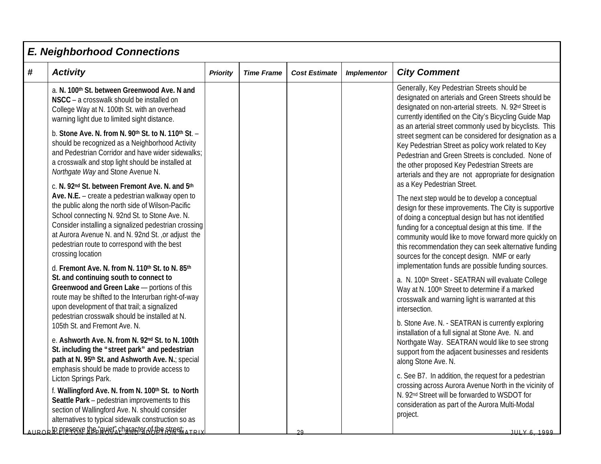|   | <b>E. Neighborhood Connections</b>                                                                                                                                                                                                                                                                                                                                                                                                               |                 |                   |                      |                    |                                                                                                                                                                                                                                                                                                                                                                                                                                                                              |  |  |  |  |
|---|--------------------------------------------------------------------------------------------------------------------------------------------------------------------------------------------------------------------------------------------------------------------------------------------------------------------------------------------------------------------------------------------------------------------------------------------------|-----------------|-------------------|----------------------|--------------------|------------------------------------------------------------------------------------------------------------------------------------------------------------------------------------------------------------------------------------------------------------------------------------------------------------------------------------------------------------------------------------------------------------------------------------------------------------------------------|--|--|--|--|
| # | <b>Activity</b>                                                                                                                                                                                                                                                                                                                                                                                                                                  | <b>Priority</b> | <b>Time Frame</b> | <b>Cost Estimate</b> | <b>Implementor</b> | <b>City Comment</b>                                                                                                                                                                                                                                                                                                                                                                                                                                                          |  |  |  |  |
|   | a. N. 100th St. between Greenwood Ave. N and<br>NSCC - a crosswalk should be installed on<br>College Way at N. 100th St. with an overhead<br>warning light due to limited sight distance.                                                                                                                                                                                                                                                        |                 |                   |                      |                    | Generally, Key Pedestrian Streets should be<br>designated on arterials and Green Streets should be<br>designated on non-arterial streets. N. 92 <sup>nd</sup> Street is<br>currently identified on the City's Bicycling Guide Map<br>as an arterial street commonly used by bicyclists. This                                                                                                                                                                                 |  |  |  |  |
|   | b. Stone Ave. N. from N. 90th St. to N. 110th St. -<br>should be recognized as a Neighborhood Activity<br>and Pedestrian Corridor and have wider sidewalks;<br>a crosswalk and stop light should be installed at<br>Northgate Way and Stone Avenue N.                                                                                                                                                                                            |                 |                   |                      |                    | street segment can be considered for designation as a<br>Key Pedestrian Street as policy work related to Key<br>Pedestrian and Green Streets is concluded. None of<br>the other proposed Key Pedestrian Streets are<br>arterials and they are not appropriate for designation                                                                                                                                                                                                |  |  |  |  |
|   | c. N. 92nd St. between Fremont Ave. N. and 5th<br>Ave. N.E. $-$ create a pedestrian walkway open to<br>the public along the north side of Wilson-Pacific<br>School connecting N. 92nd St. to Stone Ave. N.<br>Consider installing a signalized pedestrian crossing<br>at Aurora Avenue N. and N. 92nd St., or adjust the<br>pedestrian route to correspond with the best<br>crossing location<br>d. Fremont Ave. N. from N. 110th St. to N. 85th |                 |                   |                      |                    | as a Key Pedestrian Street.<br>The next step would be to develop a conceptual<br>design for these improvements. The City is supportive<br>of doing a conceptual design but has not identified<br>funding for a conceptual design at this time. If the<br>community would like to move forward more quickly on<br>this recommendation they can seek alternative funding<br>sources for the concept design. NMF or early<br>implementation funds are possible funding sources. |  |  |  |  |
|   | St. and continuing south to connect to<br>Greenwood and Green Lake - portions of this<br>route may be shifted to the Interurban right-of-way<br>upon development of that trail; a signalized<br>pedestrian crosswalk should be installed at N.                                                                                                                                                                                                   |                 |                   |                      |                    | a. N. 100 <sup>th</sup> Street - SEATRAN will evaluate College<br>Way at N. 100 <sup>th</sup> Street to determine if a marked<br>crosswalk and warning light is warranted at this<br>intersection.                                                                                                                                                                                                                                                                           |  |  |  |  |
|   | 105th St. and Fremont Ave. N.<br>e. Ashworth Ave. N. from N. 92nd St. to N. 100th<br>St. including the "street park" and pedestrian<br>path at N. 95th St. and Ashworth Ave. N.; special                                                                                                                                                                                                                                                         |                 |                   |                      |                    | b. Stone Ave. N. - SEATRAN is currently exploring<br>installation of a full signal at Stone Ave. N. and<br>Northgate Way. SEATRAN would like to see strong<br>support from the adjacent businesses and residents<br>along Stone Ave. N.                                                                                                                                                                                                                                      |  |  |  |  |
|   | emphasis should be made to provide access to<br>Licton Springs Park.<br>f. Wallingford Ave. N. from N. 100th St. to North<br>Seattle Park - pedestrian improvements to this<br>section of Wallingford Ave. N. should consider<br>alternatives to typical sidewalk construction so as                                                                                                                                                             |                 |                   |                      |                    | c. See B7. In addition, the request for a pedestrian<br>crossing across Aurora Avenue North in the vicinity of<br>N. 92 <sup>nd</sup> Street will be forwarded to WSDOT for<br>consideration as part of the Aurora Multi-Modal<br>project.                                                                                                                                                                                                                                   |  |  |  |  |
|   | AUROR <b>to preserve the "quiet</b> " character of the streeti ATRIX                                                                                                                                                                                                                                                                                                                                                                             |                 |                   | 29                   |                    | <b>IIII V 6 1999</b>                                                                                                                                                                                                                                                                                                                                                                                                                                                         |  |  |  |  |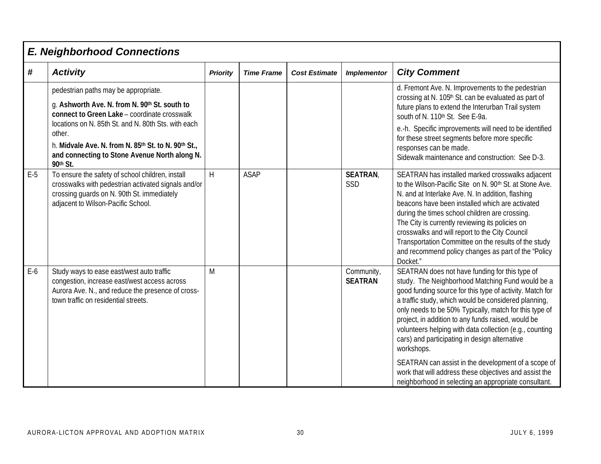|       | <b>E. Neighborhood Connections</b>                                                                                                                                                                                                                                                                                         |                 |                   |                      |                              |                                                                                                                                                                                                                                                                                                                                                                                                                                                                                                                   |  |  |  |
|-------|----------------------------------------------------------------------------------------------------------------------------------------------------------------------------------------------------------------------------------------------------------------------------------------------------------------------------|-----------------|-------------------|----------------------|------------------------------|-------------------------------------------------------------------------------------------------------------------------------------------------------------------------------------------------------------------------------------------------------------------------------------------------------------------------------------------------------------------------------------------------------------------------------------------------------------------------------------------------------------------|--|--|--|
| #     | <b>Activity</b>                                                                                                                                                                                                                                                                                                            | <b>Priority</b> | <b>Time Frame</b> | <b>Cost Estimate</b> | <b>Implementor</b>           | <b>City Comment</b>                                                                                                                                                                                                                                                                                                                                                                                                                                                                                               |  |  |  |
|       | pedestrian paths may be appropriate.<br>g. Ashworth Ave. N. from N. 90th St. south to<br>connect to Green Lake - coordinate crosswalk<br>locations on N. 85th St. and N. 80th Sts. with each<br>other.<br>h. Midvale Ave. N. from N. 85th St. to N. 90th St.,<br>and connecting to Stone Avenue North along N.<br>90th St. |                 |                   |                      |                              | d. Fremont Ave. N. Improvements to the pedestrian<br>crossing at N. 105 <sup>th</sup> St. can be evaluated as part of<br>future plans to extend the Interurban Trail system<br>south of N. 110th St. See E-9a.<br>e.-h. Specific improvements will need to be identified<br>for these street segments before more specific<br>responses can be made.<br>Sidewalk maintenance and construction: See D-3.                                                                                                           |  |  |  |
| $E-5$ | To ensure the safety of school children, install<br>crosswalks with pedestrian activated signals and/or<br>crossing quards on N. 90th St. immediately<br>adjacent to Wilson-Pacific School.                                                                                                                                | H               | <b>ASAP</b>       |                      | <b>SEATRAN</b><br>SSD        | SEATRAN has installed marked crosswalks adjacent<br>to the Wilson-Pacific Site on N. 90 <sup>th</sup> St. at Stone Ave.<br>N. and at Interlake Ave. N. In addition, flashing<br>beacons have been installed which are activated<br>during the times school children are crossing.<br>The City is currently reviewing its policies on<br>crosswalks and will report to the City Council<br>Transportation Committee on the results of the study<br>and recommend policy changes as part of the "Policy<br>Docket." |  |  |  |
| $E-6$ | Study ways to ease east/west auto traffic<br>congestion, increase east/west access across<br>Aurora Ave. N., and reduce the presence of cross-<br>town traffic on residential streets.                                                                                                                                     | M               |                   |                      | Community,<br><b>SEATRAN</b> | SEATRAN does not have funding for this type of<br>study. The Neighborhood Matching Fund would be a<br>good funding source for this type of activity. Match for<br>a traffic study, which would be considered planning,<br>only needs to be 50% Typically, match for this type of<br>project, in addition to any funds raised, would be<br>volunteers helping with data collection (e.g., counting<br>cars) and participating in design alternative<br>workshops.                                                  |  |  |  |
|       |                                                                                                                                                                                                                                                                                                                            |                 |                   |                      |                              | SEATRAN can assist in the development of a scope of<br>work that will address these objectives and assist the<br>neighborhood in selecting an appropriate consultant.                                                                                                                                                                                                                                                                                                                                             |  |  |  |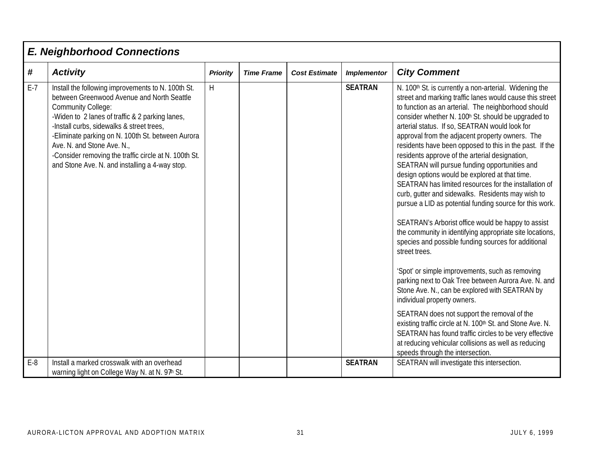|       | <b>E. Neighborhood Connections</b>                                                                                                                                                                                                                                                                                                                                                                                          |                 |                   |                      |                    |                                                                                                                                                                                                                                                                                                                                                                                                                                                                                                                                                                                                                                                                                                                                                                                                                                                                                                                                                                                                                                                                                                                                                                                                                                                                                                                                                                                                  |
|-------|-----------------------------------------------------------------------------------------------------------------------------------------------------------------------------------------------------------------------------------------------------------------------------------------------------------------------------------------------------------------------------------------------------------------------------|-----------------|-------------------|----------------------|--------------------|--------------------------------------------------------------------------------------------------------------------------------------------------------------------------------------------------------------------------------------------------------------------------------------------------------------------------------------------------------------------------------------------------------------------------------------------------------------------------------------------------------------------------------------------------------------------------------------------------------------------------------------------------------------------------------------------------------------------------------------------------------------------------------------------------------------------------------------------------------------------------------------------------------------------------------------------------------------------------------------------------------------------------------------------------------------------------------------------------------------------------------------------------------------------------------------------------------------------------------------------------------------------------------------------------------------------------------------------------------------------------------------------------|
| #     | <b>Activity</b>                                                                                                                                                                                                                                                                                                                                                                                                             | <b>Priority</b> | <b>Time Frame</b> | <b>Cost Estimate</b> | <b>Implementor</b> | <b>City Comment</b>                                                                                                                                                                                                                                                                                                                                                                                                                                                                                                                                                                                                                                                                                                                                                                                                                                                                                                                                                                                                                                                                                                                                                                                                                                                                                                                                                                              |
| $E-7$ | Install the following improvements to N. 100th St.<br>between Greenwood Avenue and North Seattle<br><b>Community College:</b><br>-Widen to 2 lanes of traffic & 2 parking lanes,<br>-Install curbs, sidewalks & street trees,<br>-Eliminate parking on N. 100th St. between Aurora<br>Ave. N. and Stone Ave. N.,<br>-Consider removing the traffic circle at N. 100th St.<br>and Stone Ave. N. and installing a 4-way stop. | H               |                   |                      | <b>SEATRAN</b>     | N. 100 <sup>th</sup> St. is currently a non-arterial. Widening the<br>street and marking traffic lanes would cause this street<br>to function as an arterial. The neighborhood should<br>consider whether N. 100h St. should be upgraded to<br>arterial status. If so, SEATRAN would look for<br>approval from the adjacent property owners. The<br>residents have been opposed to this in the past. If the<br>residents approve of the arterial designation,<br>SEATRAN will pursue funding opportunities and<br>design options would be explored at that time.<br>SEATRAN has limited resources for the installation of<br>curb, gutter and sidewalks. Residents may wish to<br>pursue a LID as potential funding source for this work.<br>SEATRAN's Arborist office would be happy to assist<br>the community in identifying appropriate site locations,<br>species and possible funding sources for additional<br>street trees.<br>'Spot' or simple improvements, such as removing<br>parking next to Oak Tree between Aurora Ave. N. and<br>Stone Ave. N., can be explored with SEATRAN by<br>individual property owners.<br>SEATRAN does not support the removal of the<br>existing traffic circle at N. 100th St. and Stone Ave. N.<br>SEATRAN has found traffic circles to be very effective<br>at reducing vehicular collisions as well as reducing<br>speeds through the intersection. |
| $E-8$ | Install a marked crosswalk with an overhead<br>warning light on College Way N. at N. 97h St.                                                                                                                                                                                                                                                                                                                                |                 |                   |                      | <b>SEATRAN</b>     | SEATRAN will investigate this intersection.                                                                                                                                                                                                                                                                                                                                                                                                                                                                                                                                                                                                                                                                                                                                                                                                                                                                                                                                                                                                                                                                                                                                                                                                                                                                                                                                                      |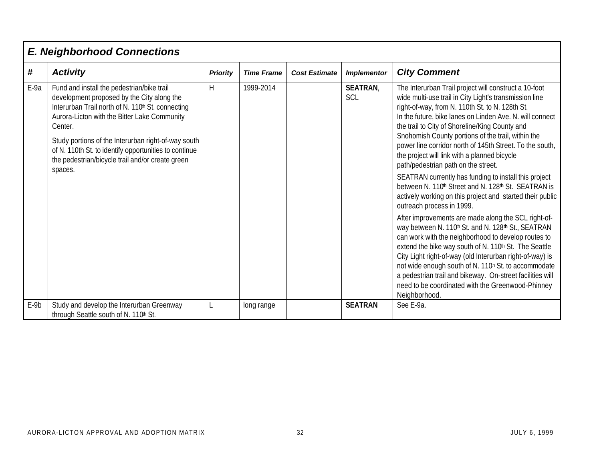|        | <b>E. Neighborhood Connections</b>                                                                                                                                                                                                                                                                                                                                                                  |                 |                   |                      |                       |                                                                                                                                                                                                                                                                                                                                                                                                                                                                                                                                                                                                                                                                                                                                                                                                                                                                                                                                                                                                                                                                                                                                                                                                   |
|--------|-----------------------------------------------------------------------------------------------------------------------------------------------------------------------------------------------------------------------------------------------------------------------------------------------------------------------------------------------------------------------------------------------------|-----------------|-------------------|----------------------|-----------------------|---------------------------------------------------------------------------------------------------------------------------------------------------------------------------------------------------------------------------------------------------------------------------------------------------------------------------------------------------------------------------------------------------------------------------------------------------------------------------------------------------------------------------------------------------------------------------------------------------------------------------------------------------------------------------------------------------------------------------------------------------------------------------------------------------------------------------------------------------------------------------------------------------------------------------------------------------------------------------------------------------------------------------------------------------------------------------------------------------------------------------------------------------------------------------------------------------|
| #      | <b>Activity</b>                                                                                                                                                                                                                                                                                                                                                                                     | <b>Priority</b> | <b>Time Frame</b> | <b>Cost Estimate</b> | <b>Implementor</b>    | <b>City Comment</b>                                                                                                                                                                                                                                                                                                                                                                                                                                                                                                                                                                                                                                                                                                                                                                                                                                                                                                                                                                                                                                                                                                                                                                               |
| E-9a   | Fund and install the pedestrian/bike trail<br>development proposed by the City along the<br>Interurban Trail north of N. 110 <sup>th</sup> St. connecting<br>Aurora-Licton with the Bitter Lake Community<br>Center.<br>Study portions of the Interurban right-of-way south<br>of N. 110th St. to identify opportunities to continue<br>the pedestrian/bicycle trail and/or create green<br>spaces. | H               | 1999-2014         |                      | <b>SEATRAN</b><br>SCL | The Interurban Trail project will construct a 10-foot<br>wide multi-use trail in City Light's transmission line<br>right-of-way, from N. 110th St. to N. 128th St.<br>In the future, bike lanes on Linden Ave. N. will connect<br>the trail to City of Shoreline/King County and<br>Snohomish County portions of the trail, within the<br>power line corridor north of 145th Street. To the south,<br>the project will link with a planned bicycle<br>path/pedestrian path on the street.<br>SEATRAN currently has funding to install this project<br>between N. 110th Street and N. 128th St. SEATRAN is<br>actively working on this project and started their public<br>outreach process in 1999.<br>After improvements are made along the SCL right-of-<br>way between N. 110h St. and N. 128th St., SEATRAN<br>can work with the neighborhood to develop routes to<br>extend the bike way south of N. 110th St. The Seattle<br>City Light right-of-way (old Interurban right-of-way) is<br>not wide enough south of N. 110 <sup>h</sup> St. to accommodate<br>a pedestrian trail and bikeway. On-street facilities will<br>need to be coordinated with the Greenwood-Phinney<br>Neighborhood. |
| $E-9b$ | Study and develop the Interurban Greenway<br>through Seattle south of N. 110th St.                                                                                                                                                                                                                                                                                                                  |                 | long range        |                      | <b>SEATRAN</b>        | See E-9a.                                                                                                                                                                                                                                                                                                                                                                                                                                                                                                                                                                                                                                                                                                                                                                                                                                                                                                                                                                                                                                                                                                                                                                                         |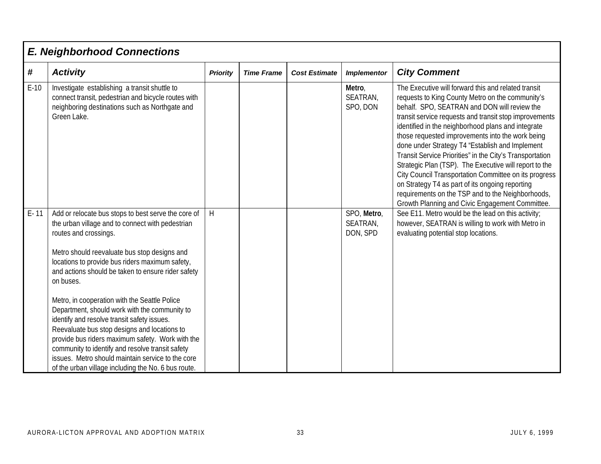|          | <b>E. Neighborhood Connections</b>                                                                                                                                                                                                                                                                                                                                                                                                                                                                                                                                                                                                                                                                                          |                 |                   |                      |                                     |                                                                                                                                                                                                                                                                                                                                                                                                                                                                                                                                                                                                                                                                                                                          |  |  |  |  |  |
|----------|-----------------------------------------------------------------------------------------------------------------------------------------------------------------------------------------------------------------------------------------------------------------------------------------------------------------------------------------------------------------------------------------------------------------------------------------------------------------------------------------------------------------------------------------------------------------------------------------------------------------------------------------------------------------------------------------------------------------------------|-----------------|-------------------|----------------------|-------------------------------------|--------------------------------------------------------------------------------------------------------------------------------------------------------------------------------------------------------------------------------------------------------------------------------------------------------------------------------------------------------------------------------------------------------------------------------------------------------------------------------------------------------------------------------------------------------------------------------------------------------------------------------------------------------------------------------------------------------------------------|--|--|--|--|--|
| $\#$     | <b>Activity</b>                                                                                                                                                                                                                                                                                                                                                                                                                                                                                                                                                                                                                                                                                                             | <b>Priority</b> | <b>Time Frame</b> | <b>Cost Estimate</b> | <b>Implementor</b>                  | <b>City Comment</b>                                                                                                                                                                                                                                                                                                                                                                                                                                                                                                                                                                                                                                                                                                      |  |  |  |  |  |
| $E-10$   | Investigate establishing a transit shuttle to<br>connect transit, pedestrian and bicycle routes with<br>neighboring destinations such as Northgate and<br>Green Lake.                                                                                                                                                                                                                                                                                                                                                                                                                                                                                                                                                       |                 |                   |                      | Metro,<br>SEATRAN,<br>SPO, DON      | The Executive will forward this and related transit<br>requests to King County Metro on the community's<br>behalf. SPO, SEATRAN and DON will review the<br>transit service requests and transit stop improvements<br>identified in the neighborhood plans and integrate<br>those requested improvements into the work being<br>done under Strategy T4 "Establish and Implement<br>Transit Service Priorities" in the City's Transportation<br>Strategic Plan (TSP). The Executive will report to the<br>City Council Transportation Committee on its progress<br>on Strategy T4 as part of its ongoing reporting<br>requirements on the TSP and to the Neighborhoods,<br>Growth Planning and Civic Engagement Committee. |  |  |  |  |  |
| $E - 11$ | Add or relocate bus stops to best serve the core of<br>the urban village and to connect with pedestrian<br>routes and crossings.<br>Metro should reevaluate bus stop designs and<br>locations to provide bus riders maximum safety,<br>and actions should be taken to ensure rider safety<br>on buses.<br>Metro, in cooperation with the Seattle Police<br>Department, should work with the community to<br>identify and resolve transit safety issues.<br>Reevaluate bus stop designs and locations to<br>provide bus riders maximum safety. Work with the<br>community to identify and resolve transit safety<br>issues. Metro should maintain service to the core<br>of the urban village including the No. 6 bus route. | H               |                   |                      | SPO, Metro,<br>SEATRAN,<br>DON, SPD | See E11. Metro would be the lead on this activity;<br>however, SEATRAN is willing to work with Metro in<br>evaluating potential stop locations.                                                                                                                                                                                                                                                                                                                                                                                                                                                                                                                                                                          |  |  |  |  |  |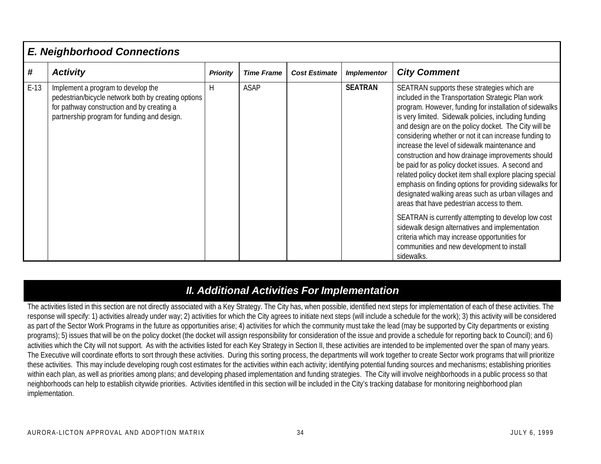### *E. Neighborhood Connections*

| #      | <b>Activity</b>                                                                                                                                                                        | <b>Priority</b> | <b>Time Frame</b> | <b>Cost Estimate</b> | <b>Implementor</b> | <b>City Comment</b>                                                                                                                                                                                                                                                                                                                                                                                                                                                                                                                                                                                                                                                                                                                                                                                                                                                                                                                                    |
|--------|----------------------------------------------------------------------------------------------------------------------------------------------------------------------------------------|-----------------|-------------------|----------------------|--------------------|--------------------------------------------------------------------------------------------------------------------------------------------------------------------------------------------------------------------------------------------------------------------------------------------------------------------------------------------------------------------------------------------------------------------------------------------------------------------------------------------------------------------------------------------------------------------------------------------------------------------------------------------------------------------------------------------------------------------------------------------------------------------------------------------------------------------------------------------------------------------------------------------------------------------------------------------------------|
| $E-13$ | Implement a program to develop the<br>pedestrian/bicycle network both by creating options<br>for pathway construction and by creating a<br>partnership program for funding and design. | H               | <b>ASAP</b>       |                      | <b>SEATRAN</b>     | SEATRAN supports these strategies which are<br>included in the Transportation Strategic Plan work<br>program. However, funding for installation of sidewalks<br>is very limited. Sidewalk policies, including funding<br>and design are on the policy docket. The City will be<br>considering whether or not it can increase funding to<br>increase the level of sidewalk maintenance and<br>construction and how drainage improvements should<br>be paid for as policy docket issues. A second and<br>related policy docket item shall explore placing special<br>emphasis on finding options for providing sidewalks for<br>designated walking areas such as urban villages and<br>areas that have pedestrian access to them.<br>SEATRAN is currently attempting to develop low cost<br>sidewalk design alternatives and implementation<br>criteria which may increase opportunities for<br>communities and new development to install<br>sidewalks. |

### *II. Additional Activities For Implementation*

The activities listed in this section are not directly associated with a Key Strategy. The City has, when possible, identified next steps for implementation of each of these activities. The response will specify: 1) activities already under way; 2) activities for which the City agrees to initiate next steps (will include a schedule for the work); 3) this activity will be considered as part of the Sector Work Programs in the future as opportunities arise; 4) activities for which the community must take the lead (may be supported by City departments or existing programs); 5) issues that will be on the policy docket (the docket will assign responsibility for consideration of the issue and provide a schedule for reporting back to Council); and 6) activities which the City will not support. As with the activities listed for each Key Strategy in Section II, these activities are intended to be implemented over the span of many years. The Executive will coordinate efforts to sort through these activities. During this sorting process, the departments will work together to create Sector work programs that will prioritize these activities. This may include developing rough cost estimates for the activities within each activity; identifying potential funding sources and mechanisms; establishing priorities within each plan, as well as priorities among plans; and developing phased implementation and funding strategies. The City will involve neighborhoods in a public process so that neighborhoods can help to establish citywide priorities. Activities identified in this section will be included in the City's tracking database for monitoring neighborhood plan implementation.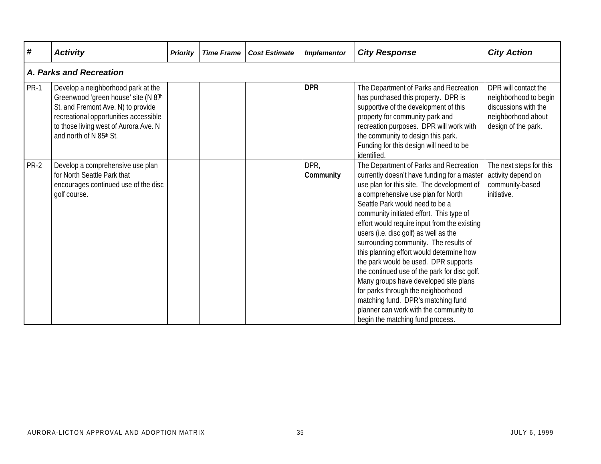| #           | <b>Activity</b>                                                                                                                                                                                                               | <b>Priority</b> | <b>Time Frame</b> | <b>Cost Estimate</b> | <b>Implementor</b> | <b>City Response</b>                                                                                                                                                                                                                                                                                                                                                                                                                                                                                                                                                                                                                                                                                                              | <b>City Action</b>                                                                                                 |
|-------------|-------------------------------------------------------------------------------------------------------------------------------------------------------------------------------------------------------------------------------|-----------------|-------------------|----------------------|--------------------|-----------------------------------------------------------------------------------------------------------------------------------------------------------------------------------------------------------------------------------------------------------------------------------------------------------------------------------------------------------------------------------------------------------------------------------------------------------------------------------------------------------------------------------------------------------------------------------------------------------------------------------------------------------------------------------------------------------------------------------|--------------------------------------------------------------------------------------------------------------------|
|             | A. Parks and Recreation                                                                                                                                                                                                       |                 |                   |                      |                    |                                                                                                                                                                                                                                                                                                                                                                                                                                                                                                                                                                                                                                                                                                                                   |                                                                                                                    |
| <b>PR-1</b> | Develop a neighborhood park at the<br>Greenwood 'green house' site (N 87h)<br>St. and Fremont Ave. N) to provide<br>recreational opportunities accessible<br>to those living west of Aurora Ave. N<br>and north of N 85th St. |                 |                   |                      | <b>DPR</b>         | The Department of Parks and Recreation<br>has purchased this property. DPR is<br>supportive of the development of this<br>property for community park and<br>recreation purposes. DPR will work with<br>the community to design this park.<br>Funding for this design will need to be<br>identified.                                                                                                                                                                                                                                                                                                                                                                                                                              | DPR will contact the<br>neighborhood to begin<br>discussions with the<br>neighborhood about<br>design of the park. |
| <b>PR-2</b> | Develop a comprehensive use plan<br>for North Seattle Park that<br>encourages continued use of the disc<br>golf course.                                                                                                       |                 |                   |                      | DPR,<br>Community  | The Department of Parks and Recreation<br>currently doesn't have funding for a master<br>use plan for this site. The development of<br>a comprehensive use plan for North<br>Seattle Park would need to be a<br>community initiated effort. This type of<br>effort would require input from the existing<br>users (i.e. disc golf) as well as the<br>surrounding community. The results of<br>this planning effort would determine how<br>the park would be used. DPR supports<br>the continued use of the park for disc golf.<br>Many groups have developed site plans<br>for parks through the neighborhood<br>matching fund. DPR's matching fund<br>planner can work with the community to<br>begin the matching fund process. | The next steps for this<br>activity depend on<br>community-based<br>initiative.                                    |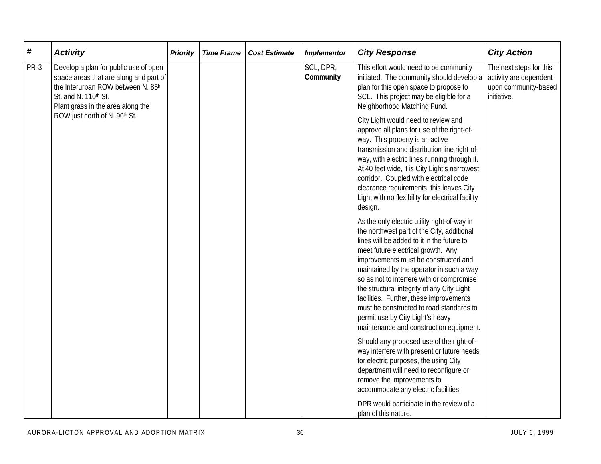| #    | <b>Activity</b>                                                                                                                                                                   | <b>Priority</b> | <b>Time Frame</b> | <b>Cost Estimate</b> | <b>Implementor</b>                                                                                                                                                                                                                                                                                                                                                                                                          | <b>City Response</b>                                                                                                                                                                                                                                                                                                                                                                                                                                                                                                                | <b>City Action</b>                                                                       |
|------|-----------------------------------------------------------------------------------------------------------------------------------------------------------------------------------|-----------------|-------------------|----------------------|-----------------------------------------------------------------------------------------------------------------------------------------------------------------------------------------------------------------------------------------------------------------------------------------------------------------------------------------------------------------------------------------------------------------------------|-------------------------------------------------------------------------------------------------------------------------------------------------------------------------------------------------------------------------------------------------------------------------------------------------------------------------------------------------------------------------------------------------------------------------------------------------------------------------------------------------------------------------------------|------------------------------------------------------------------------------------------|
| PR-3 | Develop a plan for public use of open<br>space areas that are along and part of<br>the Interurban ROW between N. 85h<br>St. and N. 110th St.<br>Plant grass in the area along the |                 |                   |                      | SCL, DPR,<br>Community                                                                                                                                                                                                                                                                                                                                                                                                      | This effort would need to be community<br>initiated. The community should develop a<br>plan for this open space to propose to<br>SCL. This project may be eligible for a<br>Neighborhood Matching Fund.                                                                                                                                                                                                                                                                                                                             | The next steps for this<br>activity are dependent<br>upon community-based<br>initiative. |
|      | ROW just north of N. 90th St.                                                                                                                                                     |                 |                   |                      | City Light would need to review and<br>approve all plans for use of the right-of-<br>way. This property is an active<br>transmission and distribution line right-of-<br>way, with electric lines running through it.<br>At 40 feet wide, it is City Light's narrowest<br>corridor. Coupled with electrical code<br>clearance requirements, this leaves City<br>Light with no flexibility for electrical facility<br>design. |                                                                                                                                                                                                                                                                                                                                                                                                                                                                                                                                     |                                                                                          |
|      |                                                                                                                                                                                   |                 |                   |                      |                                                                                                                                                                                                                                                                                                                                                                                                                             | As the only electric utility right-of-way in<br>the northwest part of the City, additional<br>lines will be added to it in the future to<br>meet future electrical growth. Any<br>improvements must be constructed and<br>maintained by the operator in such a way<br>so as not to interfere with or compromise<br>the structural integrity of any City Light<br>facilities. Further, these improvements<br>must be constructed to road standards to<br>permit use by City Light's heavy<br>maintenance and construction equipment. |                                                                                          |
|      |                                                                                                                                                                                   |                 |                   |                      |                                                                                                                                                                                                                                                                                                                                                                                                                             | Should any proposed use of the right-of-<br>way interfere with present or future needs<br>for electric purposes, the using City<br>department will need to reconfigure or<br>remove the improvements to<br>accommodate any electric facilities.<br>DPR would participate in the review of a<br>plan of this nature.                                                                                                                                                                                                                 |                                                                                          |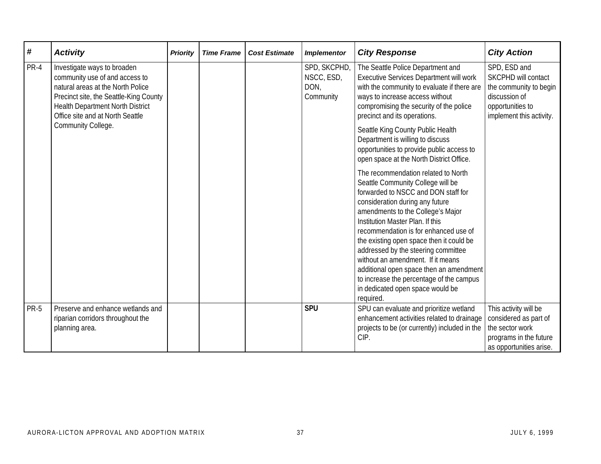| #    | <b>Activity</b>                                                                                                                                                                                                      | <b>Priority</b> | <b>Time Frame</b> | <b>Cost Estimate</b> | <b>Implementor</b>                              | <b>City Response</b>                                                                                                                                                                                                                                                                                                                                                                                                                                                                                                                 | <b>City Action</b>                                                                                                             |
|------|----------------------------------------------------------------------------------------------------------------------------------------------------------------------------------------------------------------------|-----------------|-------------------|----------------------|-------------------------------------------------|--------------------------------------------------------------------------------------------------------------------------------------------------------------------------------------------------------------------------------------------------------------------------------------------------------------------------------------------------------------------------------------------------------------------------------------------------------------------------------------------------------------------------------------|--------------------------------------------------------------------------------------------------------------------------------|
| PR-4 | Investigate ways to broaden<br>community use of and access to<br>natural areas at the North Police<br>Precinct site, the Seattle-King County<br>Health Department North District<br>Office site and at North Seattle |                 |                   |                      | SPD, SKCPHD,<br>NSCC, ESD,<br>DON,<br>Community | The Seattle Police Department and<br>Executive Services Department will work<br>with the community to evaluate if there are<br>ways to increase access without<br>compromising the security of the police<br>precinct and its operations.                                                                                                                                                                                                                                                                                            | SPD, ESD and<br>SKCPHD will contact<br>the community to begin<br>discussion of<br>opportunities to<br>implement this activity. |
|      | Community College.                                                                                                                                                                                                   |                 |                   |                      |                                                 | Seattle King County Public Health<br>Department is willing to discuss<br>opportunities to provide public access to<br>open space at the North District Office.                                                                                                                                                                                                                                                                                                                                                                       |                                                                                                                                |
|      |                                                                                                                                                                                                                      |                 |                   |                      |                                                 | The recommendation related to North<br>Seattle Community College will be<br>forwarded to NSCC and DON staff for<br>consideration during any future<br>amendments to the College's Major<br>Institution Master Plan. If this<br>recommendation is for enhanced use of<br>the existing open space then it could be<br>addressed by the steering committee<br>without an amendment. If it means<br>additional open space then an amendment<br>to increase the percentage of the campus<br>in dedicated open space would be<br>required. |                                                                                                                                |
| PR-5 | Preserve and enhance wetlands and<br>riparian corridors throughout the<br>planning area.                                                                                                                             |                 |                   |                      | <b>SPU</b>                                      | SPU can evaluate and prioritize wetland<br>enhancement activities related to drainage<br>projects to be (or currently) included in the<br>CIP.                                                                                                                                                                                                                                                                                                                                                                                       | This activity will be<br>considered as part of<br>the sector work<br>programs in the future<br>as opportunities arise.         |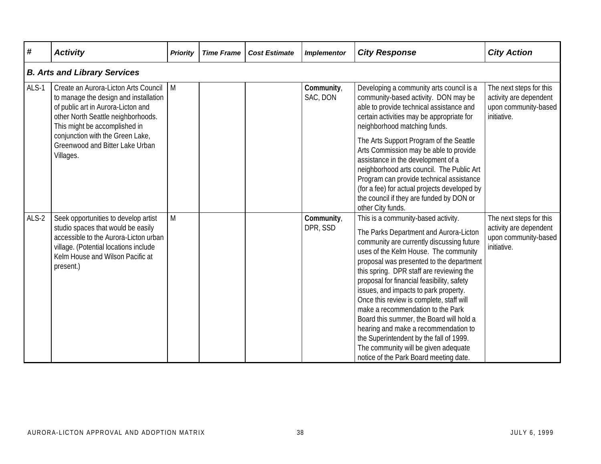| #       | <b>Activity</b>                                                                                                                                                                                                                                                                | <b>Priority</b> | <b>Time Frame</b> | <b>Cost Estimate</b>   | <b>Implementor</b>                                                                                                                                                                                        | <b>City Response</b>                                                                                                                                                                                                                                                                                                                                                                                                                                                                                                                                                                                                                                 | <b>City Action</b>                                                                       |
|---------|--------------------------------------------------------------------------------------------------------------------------------------------------------------------------------------------------------------------------------------------------------------------------------|-----------------|-------------------|------------------------|-----------------------------------------------------------------------------------------------------------------------------------------------------------------------------------------------------------|------------------------------------------------------------------------------------------------------------------------------------------------------------------------------------------------------------------------------------------------------------------------------------------------------------------------------------------------------------------------------------------------------------------------------------------------------------------------------------------------------------------------------------------------------------------------------------------------------------------------------------------------------|------------------------------------------------------------------------------------------|
|         | <b>B. Arts and Library Services</b>                                                                                                                                                                                                                                            |                 |                   |                        |                                                                                                                                                                                                           |                                                                                                                                                                                                                                                                                                                                                                                                                                                                                                                                                                                                                                                      |                                                                                          |
| ALS-1   | Create an Aurora-Licton Arts Council<br>to manage the design and installation<br>of public art in Aurora-Licton and<br>other North Seattle neighborhoods.<br>This might be accomplished in<br>conjunction with the Green Lake,<br>Greenwood and Bitter Lake Urban<br>Villages. | M               |                   | Community,<br>SAC, DON | Developing a community arts council is a<br>community-based activity. DON may be<br>able to provide technical assistance and<br>certain activities may be appropriate for<br>neighborhood matching funds. | The next steps for this<br>activity are dependent<br>upon community-based<br>initiative.                                                                                                                                                                                                                                                                                                                                                                                                                                                                                                                                                             |                                                                                          |
|         |                                                                                                                                                                                                                                                                                |                 |                   |                        |                                                                                                                                                                                                           | The Arts Support Program of the Seattle<br>Arts Commission may be able to provide<br>assistance in the development of a<br>neighborhood arts council. The Public Art<br>Program can provide technical assistance<br>(for a fee) for actual projects developed by<br>the council if they are funded by DON or<br>other City funds.                                                                                                                                                                                                                                                                                                                    |                                                                                          |
| $ALS-2$ | Seek opportunities to develop artist<br>studio spaces that would be easily<br>accessible to the Aurora-Licton urban<br>village. (Potential locations include<br>Kelm House and Wilson Pacific at<br>present.)                                                                  | M               |                   |                        | Community,<br>DPR, SSD                                                                                                                                                                                    | This is a community-based activity.<br>The Parks Department and Aurora-Licton<br>community are currently discussing future<br>uses of the Kelm House. The community<br>proposal was presented to the department<br>this spring. DPR staff are reviewing the<br>proposal for financial feasibility, safety<br>issues, and impacts to park property.<br>Once this review is complete, staff will<br>make a recommendation to the Park<br>Board this summer, the Board will hold a<br>hearing and make a recommendation to<br>the Superintendent by the fall of 1999.<br>The community will be given adequate<br>notice of the Park Board meeting date. | The next steps for this<br>activity are dependent<br>upon community-based<br>initiative. |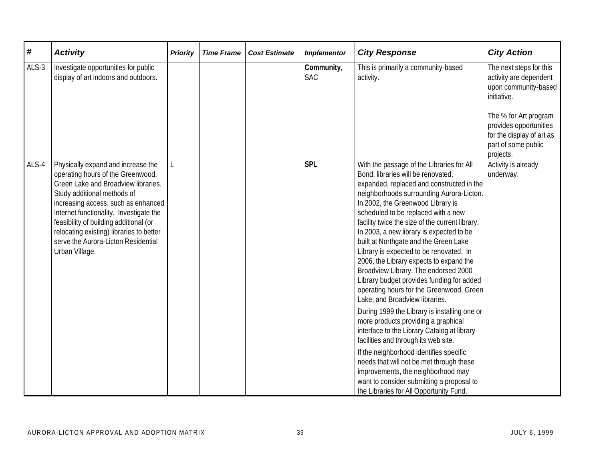| $\pmb{\#}$ | <b>Activity</b>                                                                                                                                                                                                                                                                                                                                                                | <b>Priority</b> | <b>Time Frame</b> | <b>Cost Estimate</b> | <b>Implementor</b>       | <b>City Response</b>                                                                                                                                                                                                                                                                                                                                                                                                                                                                                                                                                                                                                                                                                                                                                                                                                                                                                                                                                                                                                                     | <b>City Action</b>                                                                                                                                                                                           |
|------------|--------------------------------------------------------------------------------------------------------------------------------------------------------------------------------------------------------------------------------------------------------------------------------------------------------------------------------------------------------------------------------|-----------------|-------------------|----------------------|--------------------------|----------------------------------------------------------------------------------------------------------------------------------------------------------------------------------------------------------------------------------------------------------------------------------------------------------------------------------------------------------------------------------------------------------------------------------------------------------------------------------------------------------------------------------------------------------------------------------------------------------------------------------------------------------------------------------------------------------------------------------------------------------------------------------------------------------------------------------------------------------------------------------------------------------------------------------------------------------------------------------------------------------------------------------------------------------|--------------------------------------------------------------------------------------------------------------------------------------------------------------------------------------------------------------|
| ALS-3      | Investigate opportunities for public<br>display of art indoors and outdoors.                                                                                                                                                                                                                                                                                                   |                 |                   |                      | Community,<br><b>SAC</b> | This is primarily a community-based<br>activity.                                                                                                                                                                                                                                                                                                                                                                                                                                                                                                                                                                                                                                                                                                                                                                                                                                                                                                                                                                                                         | The next steps for this<br>activity are dependent<br>upon community-based<br>initiative.<br>The % for Art program<br>provides opportunities<br>for the display of art as<br>part of some public<br>projects. |
| ALS-4      | Physically expand and increase the<br>operating hours of the Greenwood,<br>Green Lake and Broadview libraries.<br>Study additional methods of<br>increasing access, such as enhanced<br>Internet functionality. Investigate the<br>feasibility of building additional (or<br>relocating existing) libraries to better<br>serve the Aurora-Licton Residential<br>Urban Village. | L               |                   |                      | <b>SPL</b>               | With the passage of the Libraries for All<br>Bond, libraries will be renovated,<br>expanded, replaced and constructed in the<br>neighborhoods surrounding Aurora-Licton.<br>In 2002, the Greenwood Library is<br>scheduled to be replaced with a new<br>facility twice the size of the current library.<br>In 2003, a new library is expected to be<br>built at Northgate and the Green Lake<br>Library is expected to be renovated. In<br>2006, the Library expects to expand the<br>Broadview Library. The endorsed 2000<br>Library budget provides funding for added<br>operating hours for the Greenwood, Green<br>Lake, and Broadview libraries.<br>During 1999 the Library is installing one or<br>more products providing a graphical<br>interface to the Library Catalog at library<br>facilities and through its web site.<br>If the neighborhood identifies specific<br>needs that will not be met through these<br>improvements, the neighborhood may<br>want to consider submitting a proposal to<br>the Libraries for All Opportunity Fund. | Activity is already<br>underway.                                                                                                                                                                             |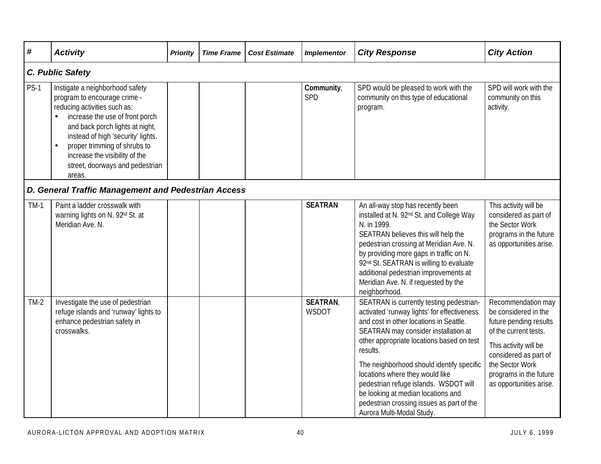| #      | <b>Activity</b>                                                                                                                                                                                                                                                                                                                         | <b>Priority</b> | <b>Time Frame</b> | <b>Cost Estimate</b> | <b>Implementor</b>      | <b>City Response</b>                                                                                                                                                                                                                                                                                                                                                                                                                                                         | <b>City Action</b>                                                                                                                                                                                                      |
|--------|-----------------------------------------------------------------------------------------------------------------------------------------------------------------------------------------------------------------------------------------------------------------------------------------------------------------------------------------|-----------------|-------------------|----------------------|-------------------------|------------------------------------------------------------------------------------------------------------------------------------------------------------------------------------------------------------------------------------------------------------------------------------------------------------------------------------------------------------------------------------------------------------------------------------------------------------------------------|-------------------------------------------------------------------------------------------------------------------------------------------------------------------------------------------------------------------------|
|        | C. Public Safety                                                                                                                                                                                                                                                                                                                        |                 |                   |                      |                         |                                                                                                                                                                                                                                                                                                                                                                                                                                                                              |                                                                                                                                                                                                                         |
| $PS-1$ | Instigate a neighborhood safety<br>program to encourage crime -<br>reducing activities such as:<br>increase the use of front porch<br>and back porch lights at night,<br>instead of high 'security' lights.<br>proper trimming of shrubs to<br>$\bullet$<br>increase the visibility of the<br>street, doorways and pedestrian<br>areas. |                 |                   |                      | Community,<br>SPD       | SPD would be pleased to work with the<br>community on this type of educational<br>program.                                                                                                                                                                                                                                                                                                                                                                                   | SPD will work with the<br>community on this<br>activity.                                                                                                                                                                |
|        | D. General Traffic Management and Pedestrian Access                                                                                                                                                                                                                                                                                     |                 |                   |                      |                         |                                                                                                                                                                                                                                                                                                                                                                                                                                                                              |                                                                                                                                                                                                                         |
| $TM-1$ | Paint a ladder crosswalk with<br>warning lights on N. 92 <sup>nd</sup> St. at<br>Meridian Ave. N.                                                                                                                                                                                                                                       |                 |                   |                      | <b>SEATRAN</b>          | An all-way stop has recently been<br>installed at N. 92 <sup>nd</sup> St. and College Way<br>N. in 1999.<br>SEATRAN believes this will help the<br>pedestrian crossing at Meridian Ave. N.<br>by providing more gaps in traffic on N.<br>92nd St. SEATRAN is willing to evaluate<br>additional pedestrian improvements at<br>Meridian Ave. N. if requested by the<br>neighborhood.                                                                                           | This activity will be<br>considered as part of<br>the Sector Work<br>programs in the future<br>as opportunities arise.                                                                                                  |
| $TM-2$ | Investigate the use of pedestrian<br>refuge islands and 'runway' lights to<br>enhance pedestrian safety in<br>crosswalks.                                                                                                                                                                                                               |                 |                   |                      | <b>SEATRAN</b><br>WSDOT | SEATRAN is currently testing pedestrian-<br>activated 'runway lights' for effectiveness<br>and cost in other locations in Seattle.<br>SEATRAN may consider installation at<br>other appropriate locations based on test<br>results.<br>The neighborhood should identify specific<br>locations where they would like<br>pedestrian refuge islands. WSDOT will<br>be looking at median locations and<br>pedestrian crossing issues as part of the<br>Aurora Multi-Modal Study. | Recommendation may<br>be considered in the<br>future pending results<br>of the current tests.<br>This activity will be<br>considered as part of<br>the Sector Work<br>programs in the future<br>as opportunities arise. |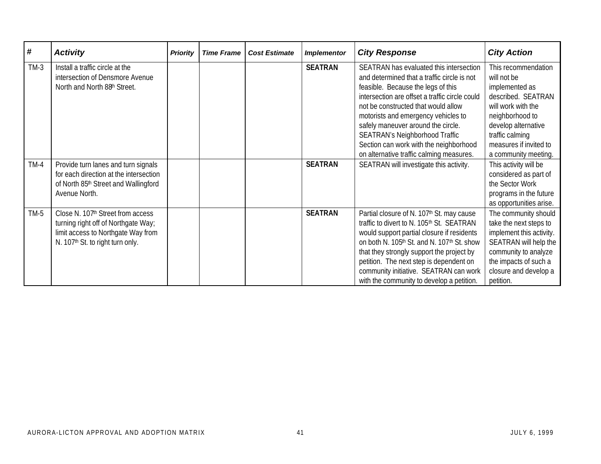| #      | <b>Activity</b>                              | <b>Priority</b> | <b>Time Frame</b> | <b>Cost Estimate</b> | <b>Implementor</b> | <b>City Response</b>                           | <b>City Action</b>       |
|--------|----------------------------------------------|-----------------|-------------------|----------------------|--------------------|------------------------------------------------|--------------------------|
| $TM-3$ | Install a traffic circle at the              |                 |                   |                      | <b>SEATRAN</b>     | SEATRAN has evaluated this intersection        | This recommendation      |
|        | intersection of Densmore Avenue              |                 |                   |                      |                    | and determined that a traffic circle is not    | will not be              |
|        | North and North 88 <sup>th</sup> Street.     |                 |                   |                      |                    | feasible. Because the legs of this             | implemented as           |
|        |                                              |                 |                   |                      |                    | intersection are offset a traffic circle could | described. SEATRAN       |
|        |                                              |                 |                   |                      |                    | not be constructed that would allow            | will work with the       |
|        |                                              |                 |                   |                      |                    | motorists and emergency vehicles to            | neighborhood to          |
|        |                                              |                 |                   |                      |                    | safely maneuver around the circle.             | develop alternative      |
|        |                                              |                 |                   |                      |                    | <b>SEATRAN's Neighborhood Traffic</b>          | traffic calming          |
|        |                                              |                 |                   |                      |                    | Section can work with the neighborhood         | measures if invited to   |
|        |                                              |                 |                   |                      |                    | on alternative traffic calming measures.       | a community meeting.     |
| $TM-4$ | Provide turn lanes and turn signals          |                 |                   |                      | <b>SEATRAN</b>     | SEATRAN will investigate this activity.        | This activity will be    |
|        | for each direction at the intersection       |                 |                   |                      |                    |                                                | considered as part of    |
|        | of North 85th Street and Wallingford         |                 |                   |                      |                    |                                                | the Sector Work          |
|        | Avenue North.                                |                 |                   |                      |                    |                                                | programs in the future   |
|        |                                              |                 |                   |                      |                    |                                                | as opportunities arise.  |
| $TM-5$ | Close N. 107th Street from access            |                 |                   |                      | <b>SEATRAN</b>     | Partial closure of N. 107th St. may cause      | The community should     |
|        | turning right off of Northgate Way;          |                 |                   |                      |                    | traffic to divert to N. 105th St. SEATRAN      | take the next steps to   |
|        | limit access to Northgate Way from           |                 |                   |                      |                    | would support partial closure if residents     | implement this activity. |
|        | N. 107 <sup>th</sup> St. to right turn only. |                 |                   |                      |                    | on both N. 105th St. and N. 107th St. show     | SEATRAN will help the    |
|        |                                              |                 |                   |                      |                    | that they strongly support the project by      | community to analyze     |
|        |                                              |                 |                   |                      |                    | petition. The next step is dependent on        | the impacts of such a    |
|        |                                              |                 |                   |                      |                    | community initiative. SEATRAN can work         | closure and develop a    |
|        |                                              |                 |                   |                      |                    | with the community to develop a petition.      | petition.                |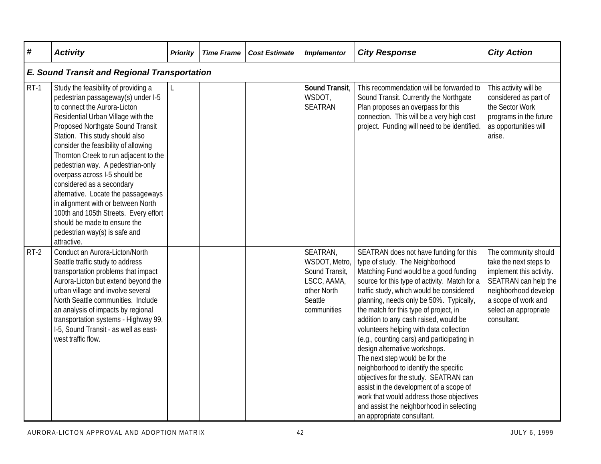| #      | <b>Activity</b>                                                                                                                                                                                                                                                                                                                                                                                                                                                                                                                                                                                                   | <b>Priority</b> | <b>Time Frame</b> | <b>Cost Estimate</b> | <b>Implementor</b>                                                                                  | <b>City Response</b>                                                                                                                                                                                                                                                                                                                                                                                                                                                                                                                                                                                                                                                                                                                                         | <b>City Action</b>                                                                                                                                                                        |
|--------|-------------------------------------------------------------------------------------------------------------------------------------------------------------------------------------------------------------------------------------------------------------------------------------------------------------------------------------------------------------------------------------------------------------------------------------------------------------------------------------------------------------------------------------------------------------------------------------------------------------------|-----------------|-------------------|----------------------|-----------------------------------------------------------------------------------------------------|--------------------------------------------------------------------------------------------------------------------------------------------------------------------------------------------------------------------------------------------------------------------------------------------------------------------------------------------------------------------------------------------------------------------------------------------------------------------------------------------------------------------------------------------------------------------------------------------------------------------------------------------------------------------------------------------------------------------------------------------------------------|-------------------------------------------------------------------------------------------------------------------------------------------------------------------------------------------|
|        | <b>E. Sound Transit and Regional Transportation</b>                                                                                                                                                                                                                                                                                                                                                                                                                                                                                                                                                               |                 |                   |                      |                                                                                                     |                                                                                                                                                                                                                                                                                                                                                                                                                                                                                                                                                                                                                                                                                                                                                              |                                                                                                                                                                                           |
| $RT-1$ | Study the feasibility of providing a<br>pedestrian passageway(s) under I-5<br>to connect the Aurora-Licton<br>Residential Urban Village with the<br>Proposed Northgate Sound Transit<br>Station. This study should also<br>consider the feasibility of allowing<br>Thornton Creek to run adjacent to the<br>pedestrian way. A pedestrian-only<br>overpass across I-5 should be<br>considered as a secondary<br>alternative. Locate the passageways<br>in alignment with or between North<br>100th and 105th Streets. Every effort<br>should be made to ensure the<br>pedestrian way(s) is safe and<br>attractive. |                 |                   |                      | Sound Transit,<br>WSDOT,<br><b>SEATRAN</b>                                                          | This recommendation will be forwarded to<br>Sound Transit. Currently the Northgate<br>Plan proposes an overpass for this<br>connection. This will be a very high cost<br>project. Funding will need to be identified.                                                                                                                                                                                                                                                                                                                                                                                                                                                                                                                                        | This activity will be<br>considered as part of<br>the Sector Work<br>programs in the future<br>as opportunities will<br>arise.                                                            |
| $RT-2$ | Conduct an Aurora-Licton/North<br>Seattle traffic study to address<br>transportation problems that impact<br>Aurora-Licton but extend beyond the<br>urban village and involve several<br>North Seattle communities. Include<br>an analysis of impacts by regional<br>transportation systems - Highway 99,<br>I-5, Sound Transit - as well as east-<br>west traffic flow.                                                                                                                                                                                                                                          |                 |                   |                      | SEATRAN,<br>WSDOT, Metro,<br>Sound Transit,<br>LSCC, AAMA,<br>other North<br>Seattle<br>communities | SEATRAN does not have funding for this<br>type of study. The Neighborhood<br>Matching Fund would be a good funding<br>source for this type of activity. Match for a<br>traffic study, which would be considered<br>planning, needs only be 50%. Typically,<br>the match for this type of project, in<br>addition to any cash raised, would be<br>volunteers helping with data collection<br>(e.g., counting cars) and participating in<br>design alternative workshops.<br>The next step would be for the<br>neighborhood to identify the specific<br>objectives for the study. SEATRAN can<br>assist in the development of a scope of<br>work that would address those objectives<br>and assist the neighborhood in selecting<br>an appropriate consultant. | The community should<br>take the next steps to<br>implement this activity.<br>SEATRAN can help the<br>neighborhood develop<br>a scope of work and<br>select an appropriate<br>consultant. |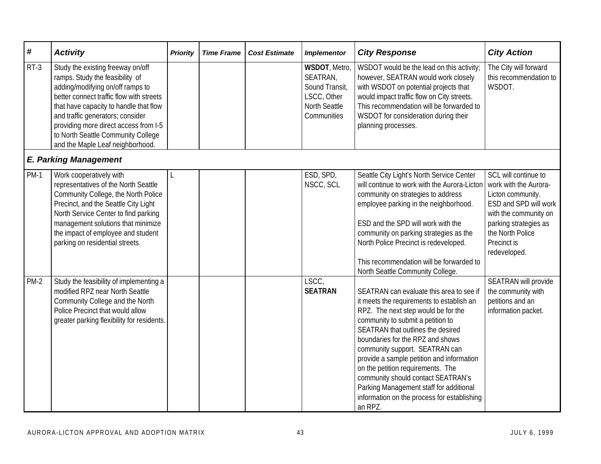| #                            | <b>Activity</b>                                                                                                                                                                                                                                                                                                                                       | <b>Priority</b> | <b>Time Frame</b> | <b>Cost Estimate</b> | <b>Implementor</b>                                                                         | <b>City Response</b>                                                                                                                                                                                                                                                                                                                                                                                                                                                                                      | <b>City Action</b>                                                                                                                                                                               |
|------------------------------|-------------------------------------------------------------------------------------------------------------------------------------------------------------------------------------------------------------------------------------------------------------------------------------------------------------------------------------------------------|-----------------|-------------------|----------------------|--------------------------------------------------------------------------------------------|-----------------------------------------------------------------------------------------------------------------------------------------------------------------------------------------------------------------------------------------------------------------------------------------------------------------------------------------------------------------------------------------------------------------------------------------------------------------------------------------------------------|--------------------------------------------------------------------------------------------------------------------------------------------------------------------------------------------------|
| $RT-3$                       | Study the existing freeway on/off<br>ramps. Study the feasibility of<br>adding/modifying on/off ramps to<br>better connect traffic flow with streets<br>that have capacity to handle that flow<br>and traffic generators; consider<br>providing more direct access from I-5<br>to North Seattle Community College<br>and the Maple Leaf neighborhood. |                 |                   |                      | WSDOT, Metro,<br>SEATRAN,<br>Sound Transit,<br>LSCC, Other<br>North Seattle<br>Communities | WSDOT would be the lead on this activity;<br>however, SEATRAN would work closely<br>with WSDOT on potential projects that<br>would impact traffic flow on City streets.<br>This recommendation will be forwarded to<br>WSDOT for consideration during their<br>planning processes.                                                                                                                                                                                                                        | The City will forward<br>this recommendation to<br>WSDOT.                                                                                                                                        |
| <b>E. Parking Management</b> |                                                                                                                                                                                                                                                                                                                                                       |                 |                   |                      |                                                                                            |                                                                                                                                                                                                                                                                                                                                                                                                                                                                                                           |                                                                                                                                                                                                  |
| <b>PM-1</b>                  | Work cooperatively with<br>representatives of the North Seattle<br>Community College, the North Police<br>Precinct, and the Seattle City Light<br>North Service Center to find parking<br>management solutions that minimize<br>the impact of employee and student<br>parking on residential streets.                                                 |                 |                   |                      | ESD, SPD,<br>NSCC, SCL                                                                     | Seattle City Light's North Service Center<br>will continue to work with the Aurora-Licton<br>community on strategies to address<br>employee parking in the neighborhood.<br>ESD and the SPD will work with the<br>community on parking strategies as the<br>North Police Precinct is redeveloped.<br>This recommendation will be forwarded to<br>North Seattle Community College.                                                                                                                         | SCL will continue to<br>work with the Aurora-<br>Licton community.<br>ESD and SPD will work<br>with the community on<br>parking strategies as<br>the North Police<br>Precinct is<br>redeveloped. |
| $PM-2$                       | Study the feasibility of implementing a<br>modified RPZ near North Seattle<br>Community College and the North<br>Police Precinct that would allow<br>greater parking flexibility for residents.                                                                                                                                                       |                 |                   |                      | LSCC,<br><b>SEATRAN</b>                                                                    | SEATRAN can evaluate this area to see if<br>it meets the requirements to establish an<br>RPZ. The next step would be for the<br>community to submit a petition to<br>SEATRAN that outlines the desired<br>boundaries for the RPZ and shows<br>community support. SEATRAN can<br>provide a sample petition and information<br>on the petition requirements. The<br>community should contact SEATRAN's<br>Parking Management staff for additional<br>information on the process for establishing<br>an RPZ. | SEATRAN will provide<br>the community with<br>petitions and an<br>information packet.                                                                                                            |